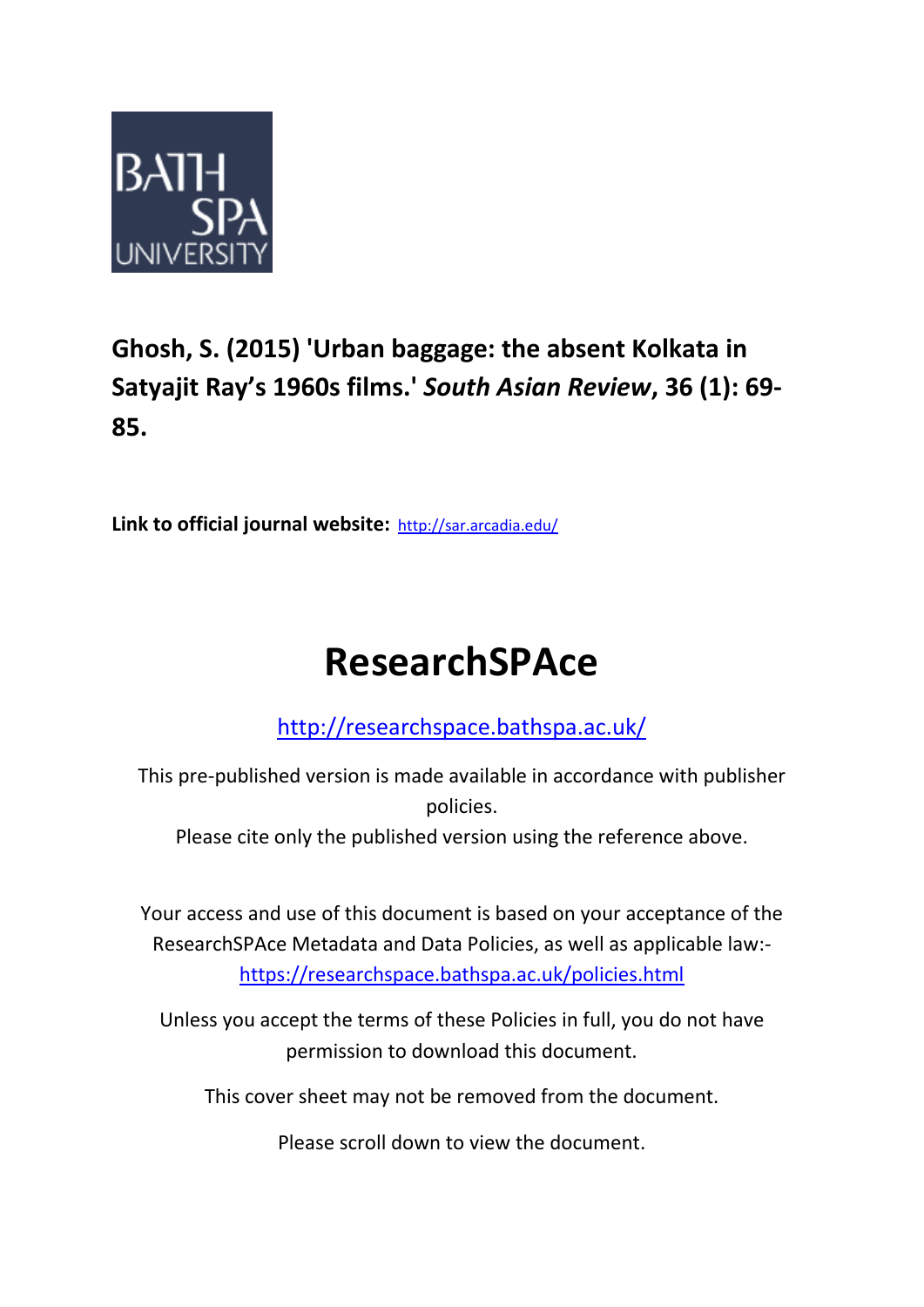

## **Ghosh, S. (2015) 'Urban baggage: the absent Kolkata in Satyajit Ray's 1960s films.'** *South Asian Review***, 36 (1): 69- 85.**

**Link to official journal website:** <http://sar.arcadia.edu/>

# **ResearchSPAce**

<http://researchspace.bathspa.ac.uk/>

This pre-published version is made available in accordance with publisher policies.

Please cite only the published version using the reference above.

Your access and use of this document is based on your acceptance of the ResearchSPAce Metadata and Data Policies, as well as applicable law: https://researchspace.bathspa.ac.uk/policies.html

Unless you accept the terms of these Policies in full, you do not have permission to download this document.

This cover sheet may not be removed from the document.

Please scroll down to view the document.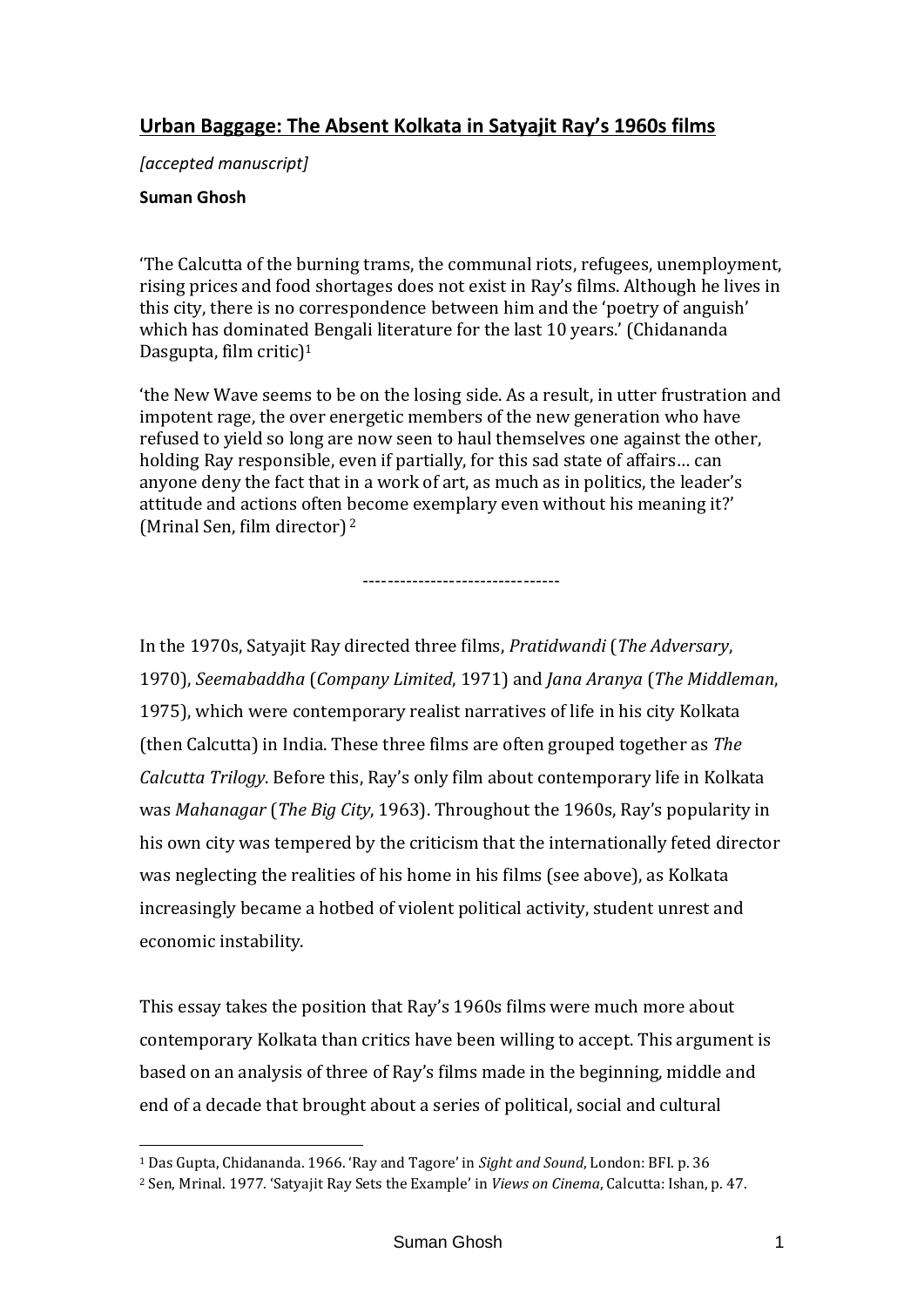### **Urban Baggage: The Absent Kolkata in Satyajit Ray's 1960s films**

*[accepted manuscript]*

#### **Suman Ghosh**

-

'The Calcutta of the burning trams, the communal riots, refugees, unemployment, rising prices and food shortages does not exist in Ray's films. Although he lives in this city, there is no correspondence between him and the 'poetry of anguish' which has dominated Bengali literature for the last 10 years.' (Chidananda Dasgupta, film critic)<sup>1</sup>

'the New Wave seems to be on the losing side. As a result, in utter frustration and impotent rage, the over energetic members of the new generation who have refused to yield so long are now seen to haul themselves one against the other, holding Ray responsible, even if partially, for this sad state of affairs… can anyone deny the fact that in a work of art, as much as in politics, the leader's attitude and actions often become exemplary even without his meaning it?' (Mrinal Sen, film director) <sup>2</sup>

--------------------------------

In the 1970s, Satyajit Ray directed three films, *Pratidwandi* (*The Adversary*, 1970), *Seemabaddha* (*Company Limited*, 1971) and *Jana Aranya* (*The Middleman*, 1975), which were contemporary realist narratives of life in his city Kolkata (then Calcutta) in India. These three films are often grouped together as *The Calcutta Trilogy*. Before this, Ray's only film about contemporary life in Kolkata was *Mahanagar* (*The Big City*, 1963). Throughout the 1960s, Ray's popularity in his own city was tempered by the criticism that the internationally feted director was neglecting the realities of his home in his films (see above), as Kolkata increasingly became a hotbed of violent political activity, student unrest and economic instability.

This essay takes the position that Ray's 1960s films were much more about contemporary Kolkata than critics have been willing to accept. This argument is based on an analysis of three of Ray's films made in the beginning, middle and end of a decade that brought about a series of political, social and cultural

<sup>1</sup> Das Gupta, Chidananda. 1966. 'Ray and Tagore' in *Sight and Sound*, London: BFI. p. 36

<sup>2</sup> Sen, Mrinal. 1977. 'Satyajit Ray Sets the Example' in *Views on Cinema*, Calcutta: Ishan, p. 47.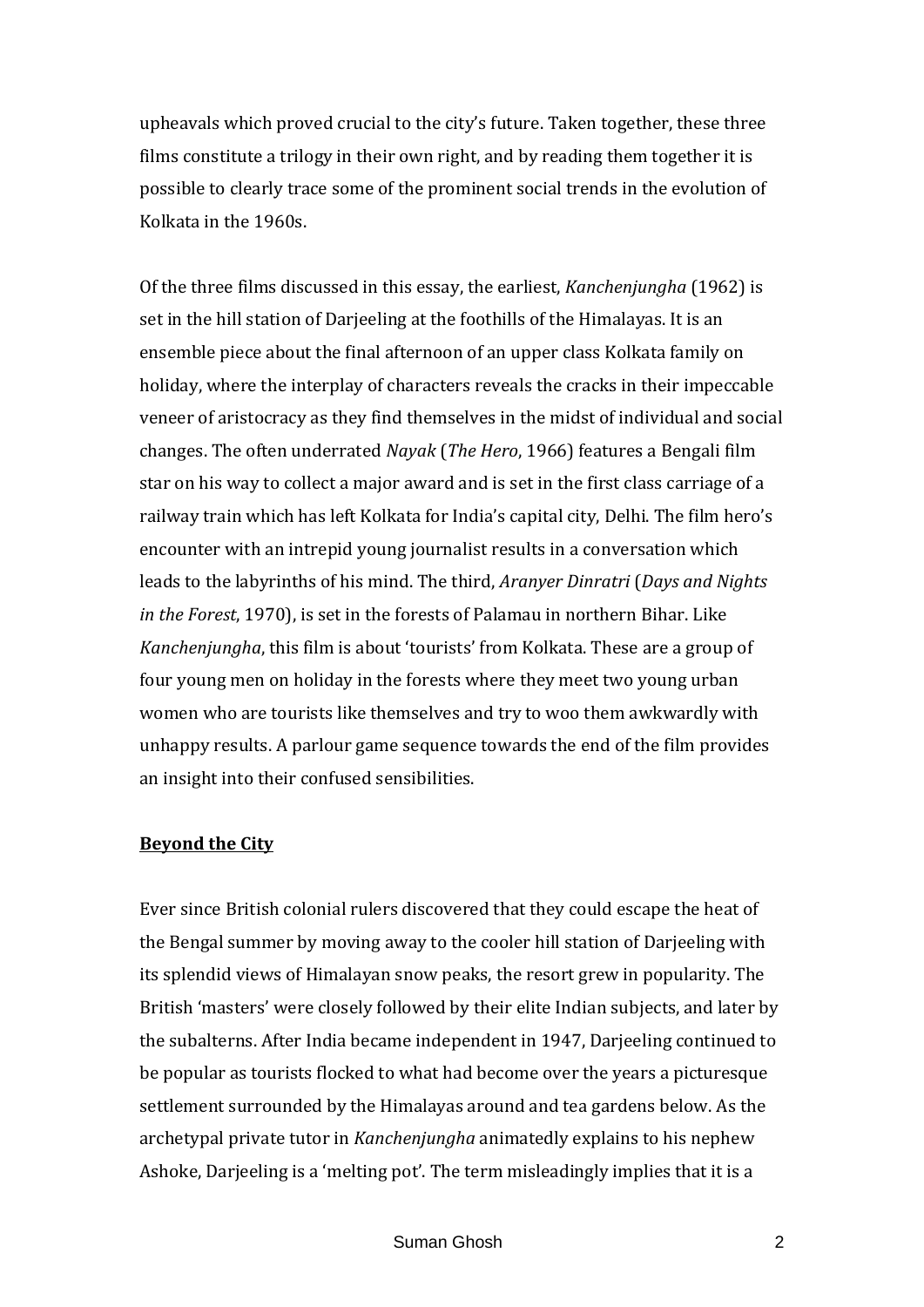upheavals which proved crucial to the city's future. Taken together, these three films constitute a trilogy in their own right, and by reading them together it is possible to clearly trace some of the prominent social trends in the evolution of Kolkata in the 1960s.

Of the three films discussed in this essay, the earliest, *Kanchenjungha* (1962) is set in the hill station of Darjeeling at the foothills of the Himalayas. It is an ensemble piece about the final afternoon of an upper class Kolkata family on holiday, where the interplay of characters reveals the cracks in their impeccable veneer of aristocracy as they find themselves in the midst of individual and social changes. The often underrated *Nayak* (*The Hero*, 1966) features a Bengali film star on his way to collect a major award and is set in the first class carriage of a railway train which has left Kolkata for India's capital city, Delhi. The film hero's encounter with an intrepid young journalist results in a conversation which leads to the labyrinths of his mind. The third, *Aranyer Dinratri* (*Days and Nights in the Forest*, 1970), is set in the forests of Palamau in northern Bihar. Like *Kanchenjungha*, this film is about 'tourists' from Kolkata. These are a group of four young men on holiday in the forests where they meet two young urban women who are tourists like themselves and try to woo them awkwardly with unhappy results. A parlour game sequence towards the end of the film provides an insight into their confused sensibilities.

#### **Beyond the City**

Ever since British colonial rulers discovered that they could escape the heat of the Bengal summer by moving away to the cooler hill station of Darjeeling with its splendid views of Himalayan snow peaks, the resort grew in popularity. The British 'masters' were closely followed by their elite Indian subjects, and later by the subalterns. After India became independent in 1947, Darjeeling continued to be popular as tourists flocked to what had become over the years a picturesque settlement surrounded by the Himalayas around and tea gardens below. As the archetypal private tutor in *Kanchenjungha* animatedly explains to his nephew Ashoke, Darjeeling is a 'melting pot'. The term misleadingly implies that it is a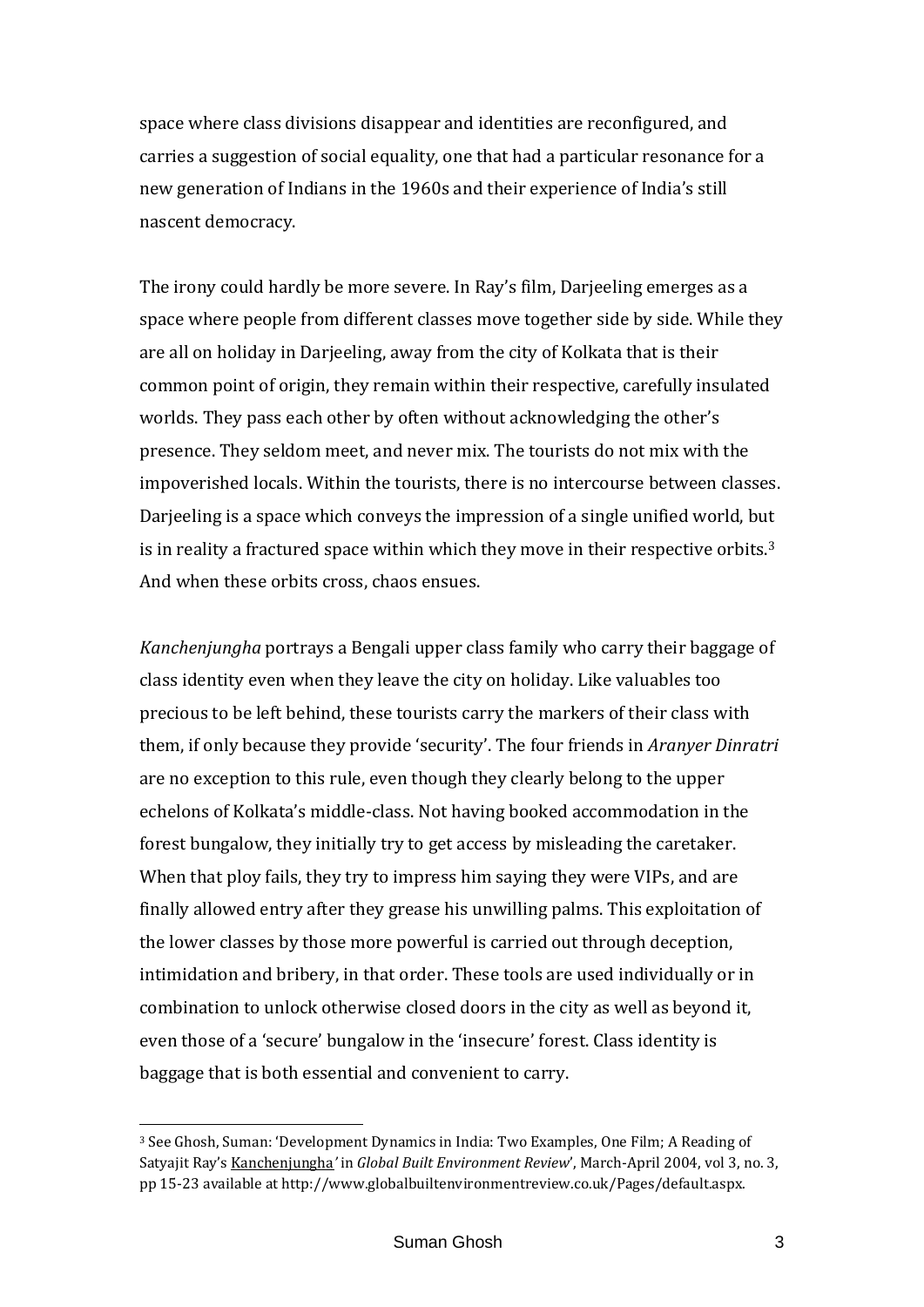space where class divisions disappear and identities are reconfigured, and carries a suggestion of social equality, one that had a particular resonance for a new generation of Indians in the 1960s and their experience of India's still nascent democracy.

The irony could hardly be more severe. In Ray's film, Darjeeling emerges as a space where people from different classes move together side by side. While they are all on holiday in Darjeeling, away from the city of Kolkata that is their common point of origin, they remain within their respective, carefully insulated worlds. They pass each other by often without acknowledging the other's presence. They seldom meet, and never mix. The tourists do not mix with the impoverished locals. Within the tourists, there is no intercourse between classes. Darjeeling is a space which conveys the impression of a single unified world, but is in reality a fractured space within which they move in their respective orbits.<sup>3</sup> And when these orbits cross, chaos ensues.

*Kanchenjungha* portrays a Bengali upper class family who carry their baggage of class identity even when they leave the city on holiday. Like valuables too precious to be left behind, these tourists carry the markers of their class with them, if only because they provide 'security'. The four friends in *Aranyer Dinratri*  are no exception to this rule, even though they clearly belong to the upper echelons of Kolkata's middle-class. Not having booked accommodation in the forest bungalow, they initially try to get access by misleading the caretaker. When that ploy fails, they try to impress him saying they were VIPs, and are finally allowed entry after they grease his unwilling palms. This exploitation of the lower classes by those more powerful is carried out through deception, intimidation and bribery, in that order. These tools are used individually or in combination to unlock otherwise closed doors in the city as well as beyond it, even those of a 'secure' bungalow in the 'insecure' forest. Class identity is baggage that is both essential and convenient to carry.

<sup>3</sup> See Ghosh, Suman: 'Development Dynamics in India: Two Examples, One Film; A Reading of Satyajit Ray's Kanchenjungha*'* in *Global Built Environment Review*', March-April 2004, vol 3, no. 3, pp 15-23 available at http://www.globalbuiltenvironmentreview.co.uk/Pages/default.aspx.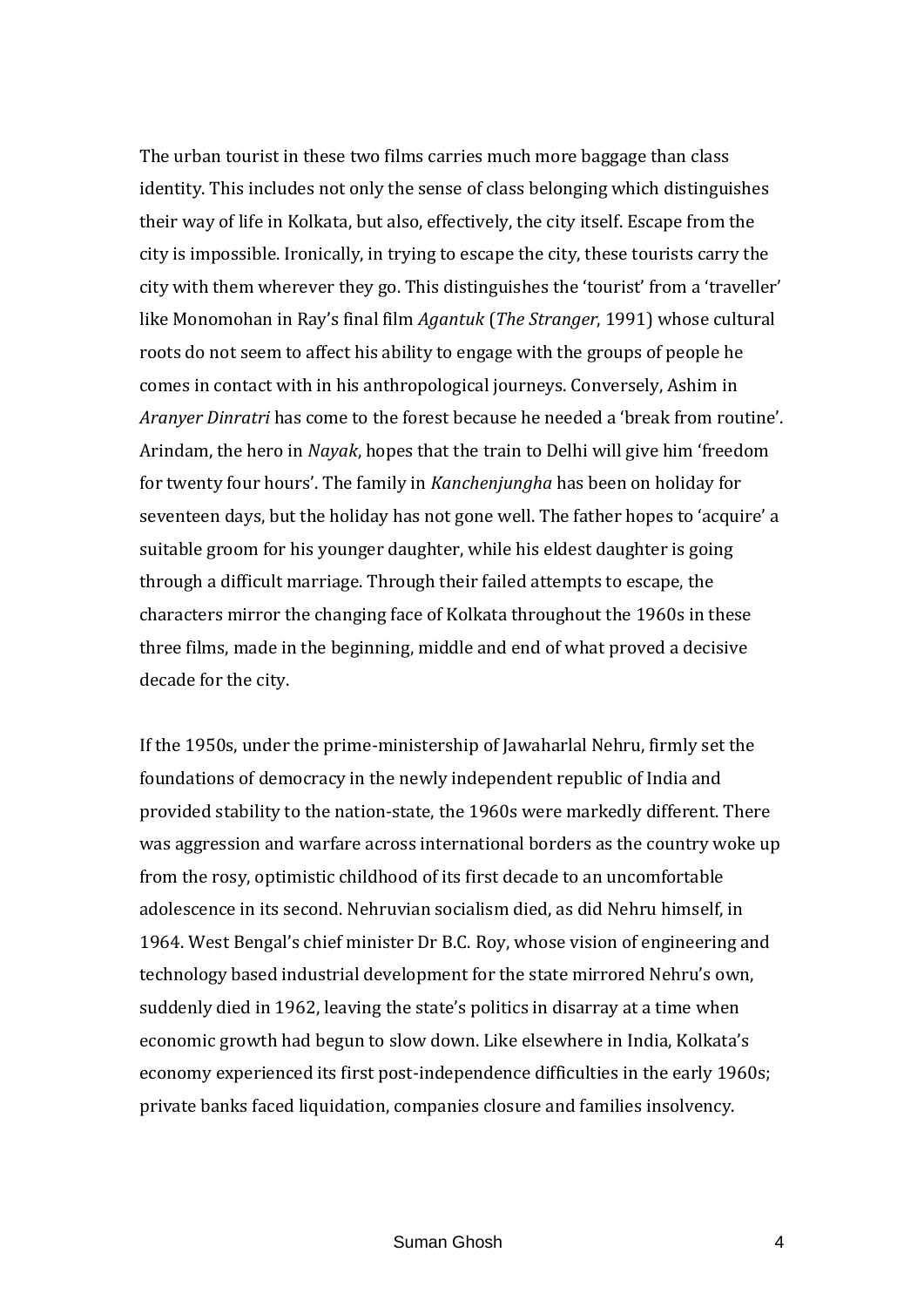The urban tourist in these two films carries much more baggage than class identity. This includes not only the sense of class belonging which distinguishes their way of life in Kolkata, but also, effectively, the city itself. Escape from the city is impossible. Ironically, in trying to escape the city, these tourists carry the city with them wherever they go. This distinguishes the 'tourist' from a 'traveller' like Monomohan in Ray's final film *Agantuk* (*The Stranger*, 1991) whose cultural roots do not seem to affect his ability to engage with the groups of people he comes in contact with in his anthropological journeys. Conversely, Ashim in *Aranyer Dinratri* has come to the forest because he needed a 'break from routine'. Arindam, the hero in *Nayak*, hopes that the train to Delhi will give him 'freedom for twenty four hours'. The family in *Kanchenjungha* has been on holiday for seventeen days, but the holiday has not gone well. The father hopes to 'acquire' a suitable groom for his younger daughter, while his eldest daughter is going through a difficult marriage. Through their failed attempts to escape, the characters mirror the changing face of Kolkata throughout the 1960s in these three films, made in the beginning, middle and end of what proved a decisive decade for the city.

If the 1950s, under the prime-ministership of Jawaharlal Nehru, firmly set the foundations of democracy in the newly independent republic of India and provided stability to the nation-state, the 1960s were markedly different. There was aggression and warfare across international borders as the country woke up from the rosy, optimistic childhood of its first decade to an uncomfortable adolescence in its second. Nehruvian socialism died, as did Nehru himself, in 1964. West Bengal's chief minister Dr B.C. Roy, whose vision of engineering and technology based industrial development for the state mirrored Nehru's own, suddenly died in 1962, leaving the state's politics in disarray at a time when economic growth had begun to slow down. Like elsewhere in India, Kolkata's economy experienced its first post-independence difficulties in the early 1960s; private banks faced liquidation, companies closure and families insolvency.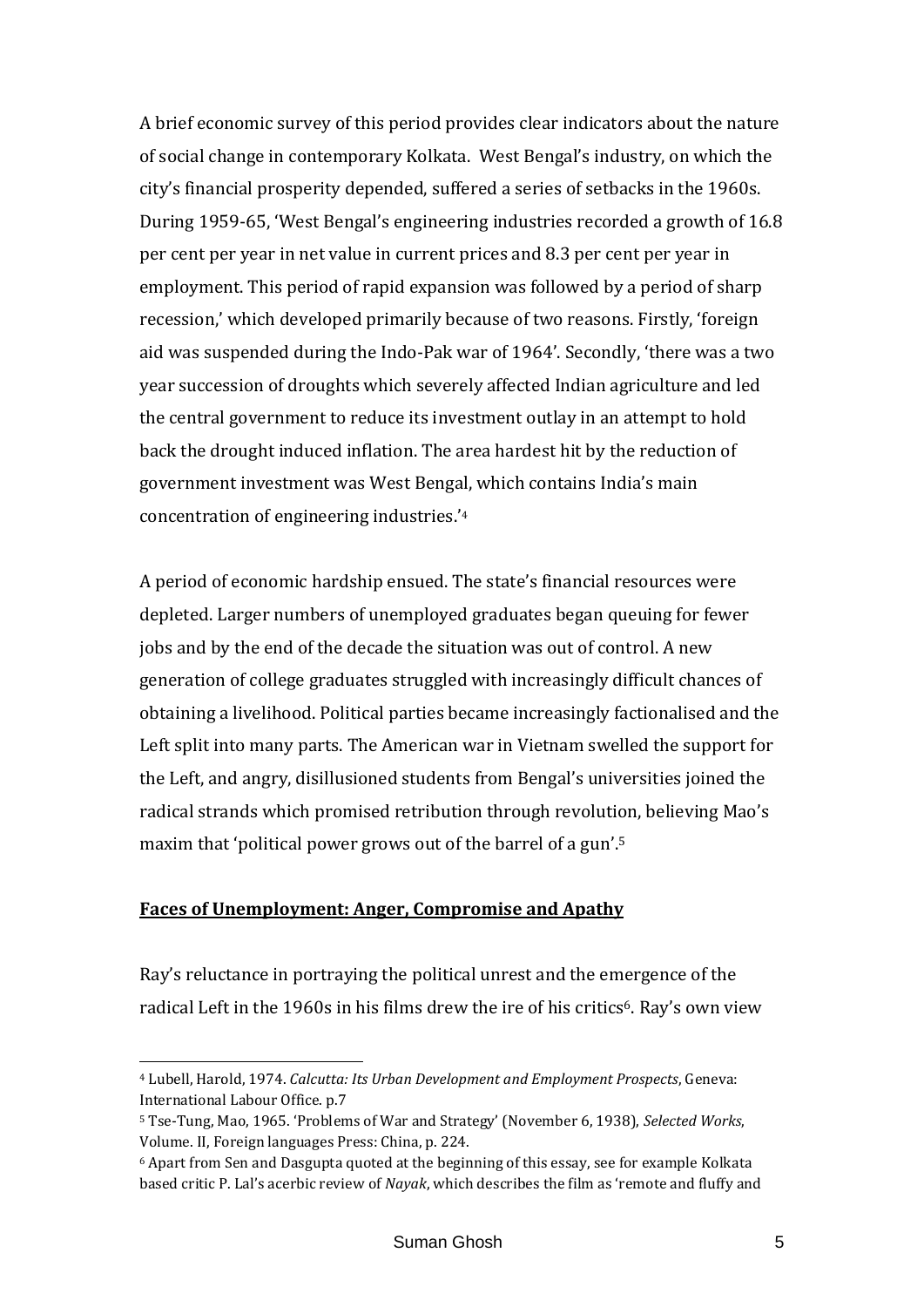A brief economic survey of this period provides clear indicators about the nature of social change in contemporary Kolkata. West Bengal's industry, on which the city's financial prosperity depended, suffered a series of setbacks in the 1960s. During 1959-65, 'West Bengal's engineering industries recorded a growth of 16.8 per cent per year in net value in current prices and 8.3 per cent per year in employment. This period of rapid expansion was followed by a period of sharp recession,' which developed primarily because of two reasons. Firstly, 'foreign aid was suspended during the Indo-Pak war of 1964'. Secondly, 'there was a two year succession of droughts which severely affected Indian agriculture and led the central government to reduce its investment outlay in an attempt to hold back the drought induced inflation. The area hardest hit by the reduction of government investment was West Bengal, which contains India's main concentration of engineering industries.'<sup>4</sup>

A period of economic hardship ensued. The state's financial resources were depleted. Larger numbers of unemployed graduates began queuing for fewer jobs and by the end of the decade the situation was out of control. A new generation of college graduates struggled with increasingly difficult chances of obtaining a livelihood. Political parties became increasingly factionalised and the Left split into many parts. The American war in Vietnam swelled the support for the Left, and angry, disillusioned students from Bengal's universities joined the radical strands which promised retribution through revolution, believing Mao's maxim that 'political power grows out of the barrel of a gun'.<sup>5</sup>

#### **Faces of Unemployment: Anger, Compromise and Apathy**

-

Ray's reluctance in portraying the political unrest and the emergence of the radical Left in the 1960s in his films drew the ire of his critics<sup>6</sup>. Ray's own view

<sup>4</sup> Lubell, Harold, 1974. *Calcutta: Its Urban Development and Employment Prospects*, Geneva: International Labour Office. p.7

<sup>5</sup> Tse-Tung, Mao, 1965. 'Problems of War and Strategy' (November 6, 1938), *Selected Works*, Volume. II, Foreign languages Press: China, p. 224.

<sup>6</sup> Apart from Sen and Dasgupta quoted at the beginning of this essay, see for example Kolkata based critic P. Lal's acerbic review of *Nayak*, which describes the film as 'remote and fluffy and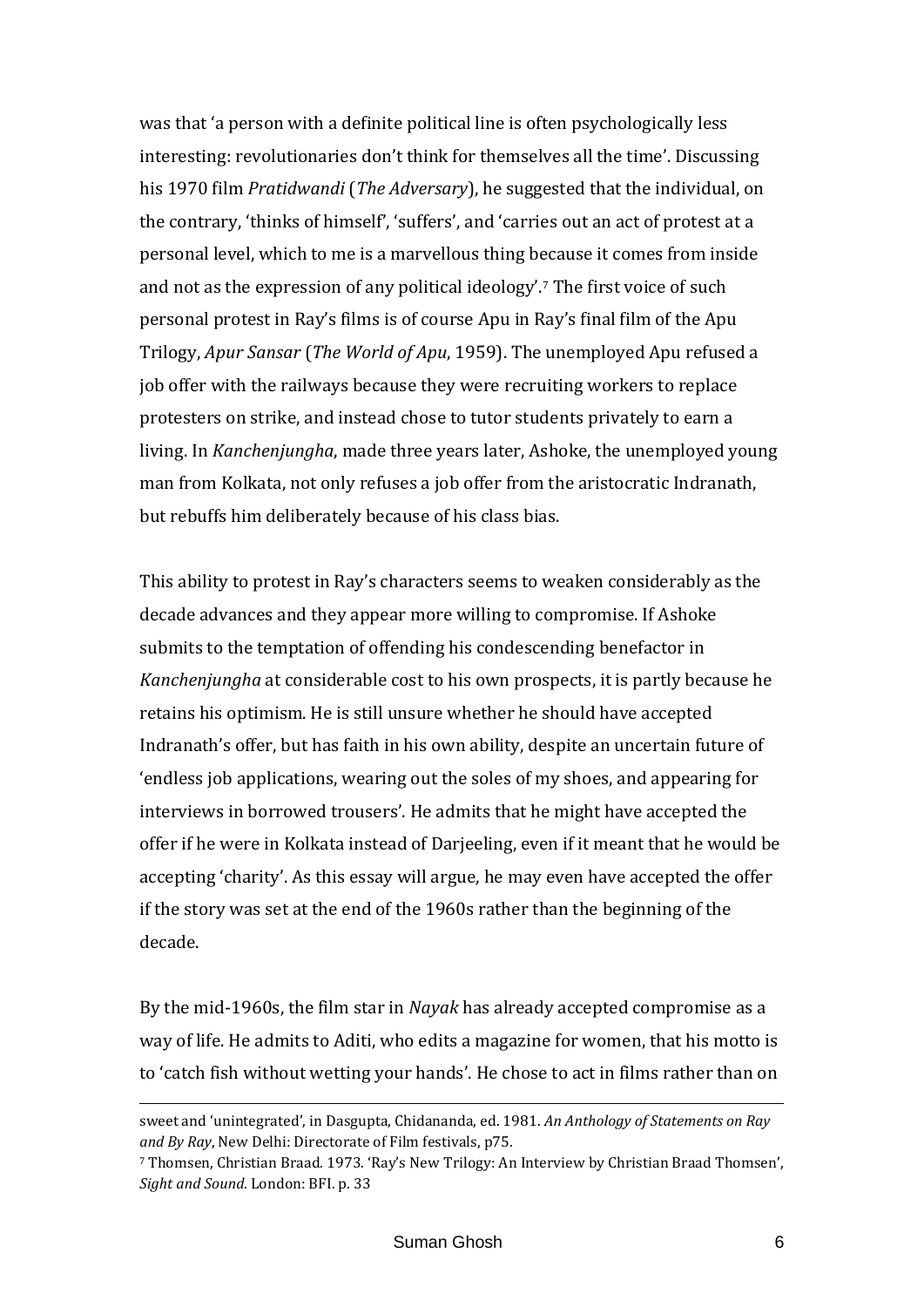was that 'a person with a definite political line is often psychologically less interesting: revolutionaries don't think for themselves all the time'. Discussing his 1970 film *Pratidwandi* (*The Adversary*), he suggested that the individual, on the contrary, 'thinks of himself', 'suffers', and 'carries out an act of protest at a personal level, which to me is a marvellous thing because it comes from inside and not as the expression of any political ideology'.<sup>7</sup> The first voice of such personal protest in Ray's films is of course Apu in Ray's final film of the Apu Trilogy, *Apur Sansar* (*The World of Apu*, 1959). The unemployed Apu refused a job offer with the railways because they were recruiting workers to replace protesters on strike, and instead chose to tutor students privately to earn a living. In *Kanchenjungha*, made three years later, Ashoke, the unemployed young man from Kolkata, not only refuses a job offer from the aristocratic Indranath, but rebuffs him deliberately because of his class bias.

This ability to protest in Ray's characters seems to weaken considerably as the decade advances and they appear more willing to compromise. If Ashoke submits to the temptation of offending his condescending benefactor in *Kanchenjungha* at considerable cost to his own prospects, it is partly because he retains his optimism. He is still unsure whether he should have accepted Indranath's offer, but has faith in his own ability, despite an uncertain future of 'endless job applications, wearing out the soles of my shoes, and appearing for interviews in borrowed trousers'. He admits that he might have accepted the offer if he were in Kolkata instead of Darjeeling, even if it meant that he would be accepting 'charity'. As this essay will argue, he may even have accepted the offer if the story was set at the end of the 1960s rather than the beginning of the decade.

By the mid-1960s, the film star in *Nayak* has already accepted compromise as a way of life. He admits to Aditi, who edits a magazine for women, that his motto is to 'catch fish without wetting your hands'. He chose to act in films rather than on

sweet and 'unintegrated', in Dasgupta, Chidananda, ed. 1981. *An Anthology of Statements on Ray and By Ray*, New Delhi: Directorate of Film festivals, p75.

<sup>7</sup> Thomsen, Christian Braad. 1973. 'Ray's New Trilogy: An Interview by Christian Braad Thomsen', *Sight and Sound*. London: BFI. p. 33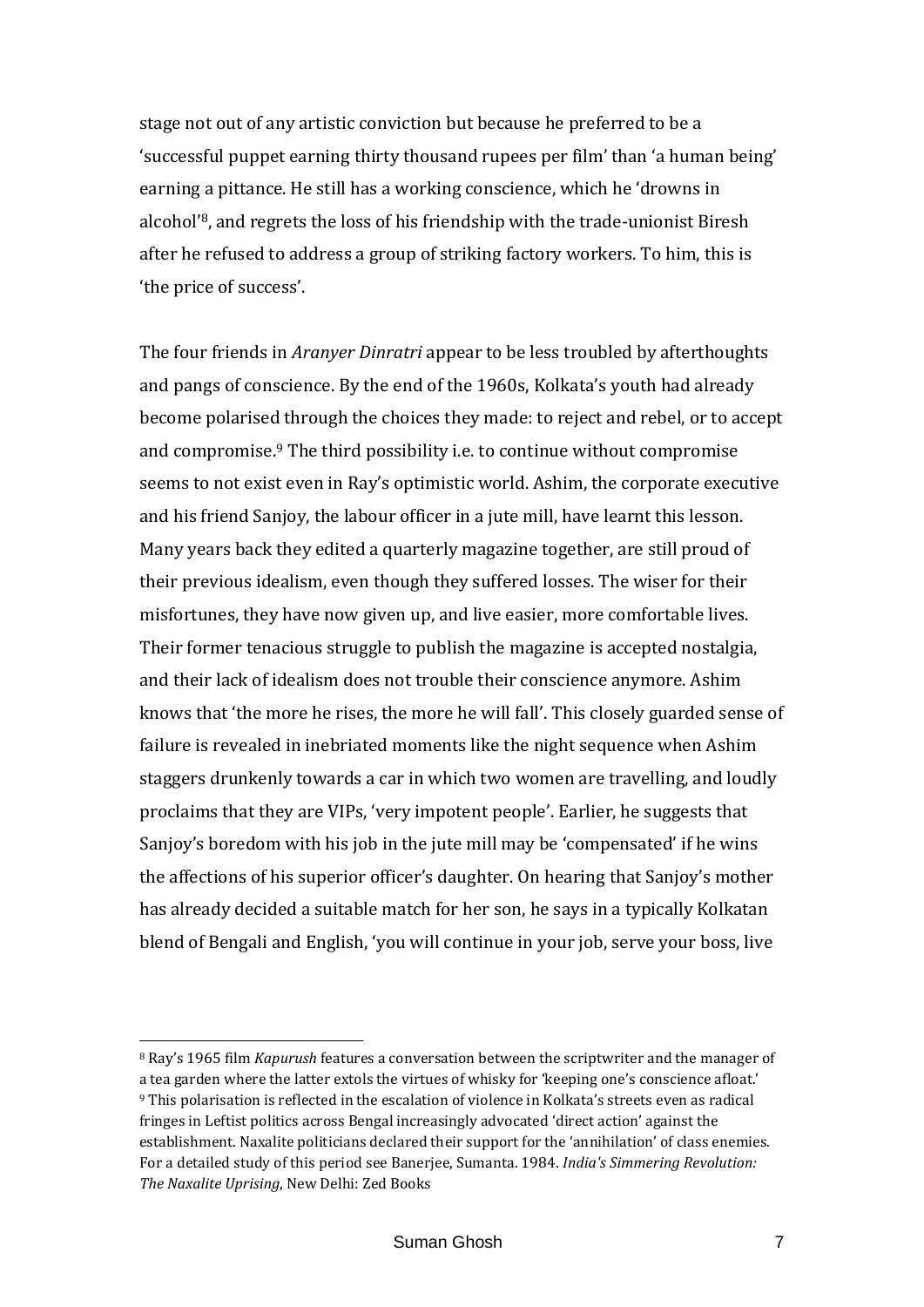stage not out of any artistic conviction but because he preferred to be a 'successful puppet earning thirty thousand rupees per film' than 'a human being' earning a pittance. He still has a working conscience, which he 'drowns in alcohol'8, and regrets the loss of his friendship with the trade-unionist Biresh after he refused to address a group of striking factory workers. To him, this is 'the price of success'.

The four friends in *Aranyer Dinratri* appear to be less troubled by afterthoughts and pangs of conscience. By the end of the 1960s, Kolkata's youth had already become polarised through the choices they made: to reject and rebel, or to accept and compromise.<sup>9</sup> The third possibility i.e. to continue without compromise seems to not exist even in Ray's optimistic world. Ashim, the corporate executive and his friend Sanjoy, the labour officer in a jute mill, have learnt this lesson. Many years back they edited a quarterly magazine together, are still proud of their previous idealism, even though they suffered losses. The wiser for their misfortunes, they have now given up, and live easier, more comfortable lives. Their former tenacious struggle to publish the magazine is accepted nostalgia, and their lack of idealism does not trouble their conscience anymore. Ashim knows that 'the more he rises, the more he will fall'. This closely guarded sense of failure is revealed in inebriated moments like the night sequence when Ashim staggers drunkenly towards a car in which two women are travelling, and loudly proclaims that they are VIPs, 'very impotent people'. Earlier, he suggests that Sanjoy's boredom with his job in the jute mill may be 'compensated' if he wins the affections of his superior officer's daughter. On hearing that Sanjoy's mother has already decided a suitable match for her son, he says in a typically Kolkatan blend of Bengali and English, 'you will continue in your job, serve your boss, live

<sup>8</sup> Ray's 1965 film *Kapurush* features a conversation between the scriptwriter and the manager of a tea garden where the latter extols the virtues of whisky for 'keeping one's conscience afloat.' <sup>9</sup> This polarisation is reflected in the escalation of violence in Kolkata's streets even as radical fringes in Leftist politics across Bengal increasingly advocated 'direct action' against the establishment. Naxalite politicians declared their support for the 'annihilation' of class enemies. For a detailed study of this period see Banerjee, Sumanta. 1984. *India's Simmering Revolution: The Naxalite Uprising*, New Delhi: Zed Books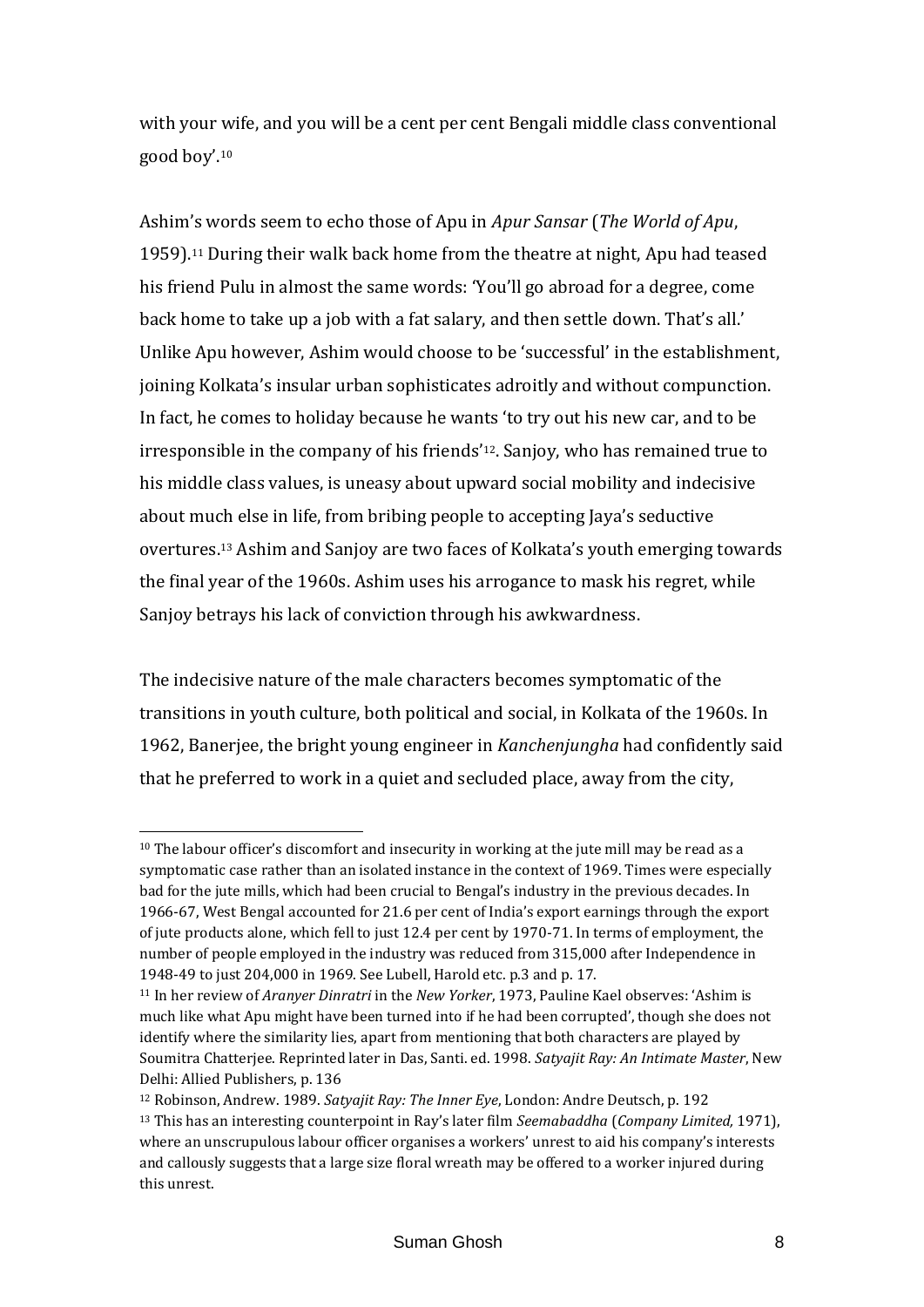with your wife, and you will be a cent per cent Bengali middle class conventional good boy'.<sup>10</sup>

Ashim's words seem to echo those of Apu in *Apur Sansar* (*The World of Apu*, 1959).<sup>11</sup> During their walk back home from the theatre at night, Apu had teased his friend Pulu in almost the same words: 'You'll go abroad for a degree, come back home to take up a job with a fat salary, and then settle down. That's all.' Unlike Apu however, Ashim would choose to be 'successful' in the establishment, joining Kolkata's insular urban sophisticates adroitly and without compunction. In fact, he comes to holiday because he wants 'to try out his new car, and to be irresponsible in the company of his friends'12. Sanjoy, who has remained true to his middle class values, is uneasy about upward social mobility and indecisive about much else in life, from bribing people to accepting Jaya's seductive overtures.<sup>13</sup> Ashim and Sanjoy are two faces of Kolkata's youth emerging towards the final year of the 1960s. Ashim uses his arrogance to mask his regret, while Sanjoy betrays his lack of conviction through his awkwardness.

The indecisive nature of the male characters becomes symptomatic of the transitions in youth culture, both political and social, in Kolkata of the 1960s. In 1962, Banerjee, the bright young engineer in *Kanchenjungha* had confidently said that he preferred to work in a quiet and secluded place, away from the city,

 $10$  The labour officer's discomfort and insecurity in working at the jute mill may be read as a symptomatic case rather than an isolated instance in the context of 1969. Times were especially bad for the jute mills, which had been crucial to Bengal's industry in the previous decades. In 1966-67, West Bengal accounted for 21.6 per cent of India's export earnings through the export of jute products alone, which fell to just 12.4 per cent by 1970-71. In terms of employment, the number of people employed in the industry was reduced from 315,000 after Independence in 1948-49 to just 204,000 in 1969. See Lubell, Harold etc. p.3 and p. 17.

<sup>11</sup> In her review of *Aranyer Dinratri* in the *New Yorker*, 1973, Pauline Kael observes: 'Ashim is much like what Apu might have been turned into if he had been corrupted', though she does not identify where the similarity lies, apart from mentioning that both characters are played by Soumitra Chatterjee. Reprinted later in Das, Santi. ed. 1998. *Satyajit Ray: An Intimate Master*, New Delhi: Allied Publishers, p. 136

<sup>12</sup> Robinson, Andrew. 1989. *Satyajit Ray: The Inner Eye*, London: Andre Deutsch, p. 192

<sup>13</sup> This has an interesting counterpoint in Ray's later film *Seemabaddha* (*Company Limited,* 1971), where an unscrupulous labour officer organises a workers' unrest to aid his company's interests and callously suggests that a large size floral wreath may be offered to a worker injured during this unrest.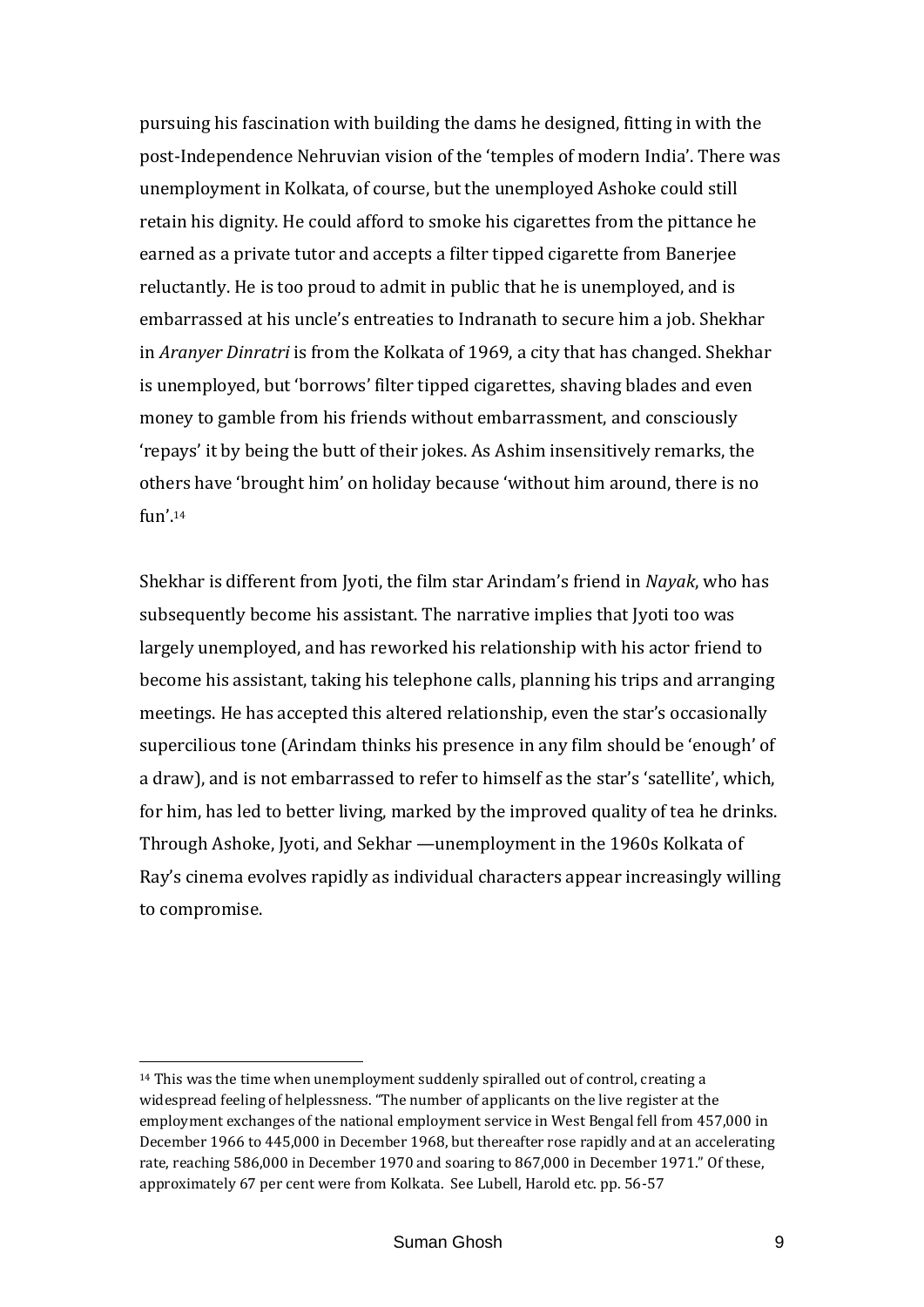pursuing his fascination with building the dams he designed, fitting in with the post-Independence Nehruvian vision of the 'temples of modern India'. There was unemployment in Kolkata, of course, but the unemployed Ashoke could still retain his dignity. He could afford to smoke his cigarettes from the pittance he earned as a private tutor and accepts a filter tipped cigarette from Banerjee reluctantly. He is too proud to admit in public that he is unemployed, and is embarrassed at his uncle's entreaties to Indranath to secure him a job. Shekhar in *Aranyer Dinratri* is from the Kolkata of 1969, a city that has changed. Shekhar is unemployed, but 'borrows' filter tipped cigarettes, shaving blades and even money to gamble from his friends without embarrassment, and consciously 'repays' it by being the butt of their jokes. As Ashim insensitively remarks, the others have 'brought him' on holiday because 'without him around, there is no fun'.<sup>14</sup>

Shekhar is different from Jyoti, the film star Arindam's friend in *Nayak*, who has subsequently become his assistant. The narrative implies that Jyoti too was largely unemployed, and has reworked his relationship with his actor friend to become his assistant, taking his telephone calls, planning his trips and arranging meetings. He has accepted this altered relationship, even the star's occasionally supercilious tone (Arindam thinks his presence in any film should be 'enough' of a draw), and is not embarrassed to refer to himself as the star's 'satellite', which, for him, has led to better living, marked by the improved quality of tea he drinks. Through Ashoke, Jyoti, and Sekhar —unemployment in the 1960s Kolkata of Ray's cinema evolves rapidly as individual characters appear increasingly willing to compromise.

<sup>&</sup>lt;sup>14</sup> This was the time when unemployment suddenly spiralled out of control, creating a widespread feeling of helplessness. "The number of applicants on the live register at the employment exchanges of the national employment service in West Bengal fell from 457,000 in December 1966 to 445,000 in December 1968, but thereafter rose rapidly and at an accelerating rate, reaching 586,000 in December 1970 and soaring to 867,000 in December 1971." Of these, approximately 67 per cent were from Kolkata. See Lubell, Harold etc. pp. 56-57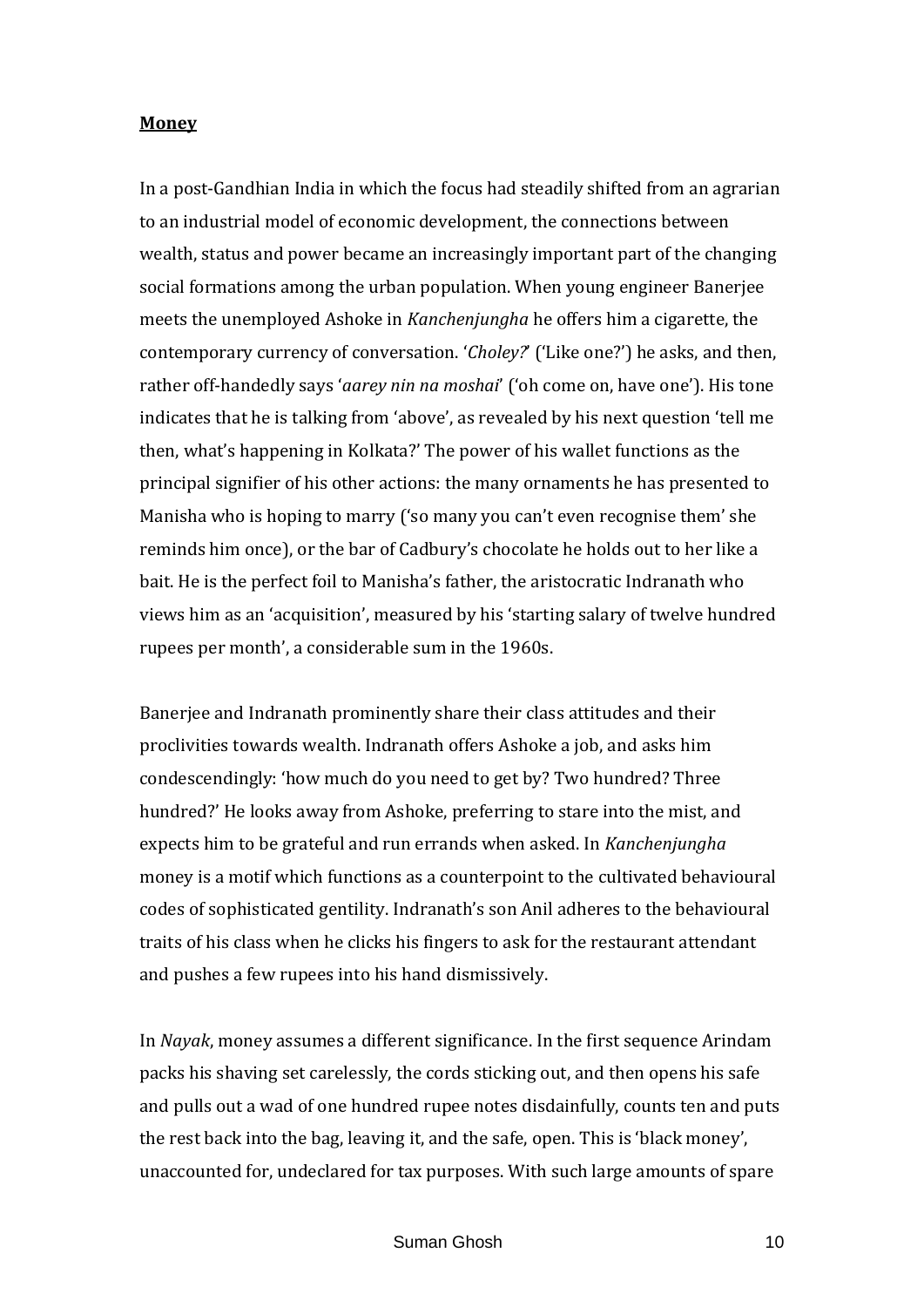#### **Money**

In a post-Gandhian India in which the focus had steadily shifted from an agrarian to an industrial model of economic development, the connections between wealth, status and power became an increasingly important part of the changing social formations among the urban population. When young engineer Banerjee meets the unemployed Ashoke in *Kanchenjungha* he offers him a cigarette, the contemporary currency of conversation. '*Choley?*' ('Like one?') he asks, and then, rather off-handedly says '*aarey nin na moshai*' ('oh come on, have one'). His tone indicates that he is talking from 'above', as revealed by his next question 'tell me then, what's happening in Kolkata?' The power of his wallet functions as the principal signifier of his other actions: the many ornaments he has presented to Manisha who is hoping to marry ('so many you can't even recognise them' she reminds him once), or the bar of Cadbury's chocolate he holds out to her like a bait. He is the perfect foil to Manisha's father, the aristocratic Indranath who views him as an 'acquisition', measured by his 'starting salary of twelve hundred rupees per month', a considerable sum in the 1960s.

Banerjee and Indranath prominently share their class attitudes and their proclivities towards wealth. Indranath offers Ashoke a job, and asks him condescendingly: 'how much do you need to get by? Two hundred? Three hundred?' He looks away from Ashoke, preferring to stare into the mist, and expects him to be grateful and run errands when asked. In *Kanchenjungha* money is a motif which functions as a counterpoint to the cultivated behavioural codes of sophisticated gentility. Indranath's son Anil adheres to the behavioural traits of his class when he clicks his fingers to ask for the restaurant attendant and pushes a few rupees into his hand dismissively.

In *Nayak*, money assumes a different significance. In the first sequence Arindam packs his shaving set carelessly, the cords sticking out, and then opens his safe and pulls out a wad of one hundred rupee notes disdainfully, counts ten and puts the rest back into the bag, leaving it, and the safe, open. This is 'black money', unaccounted for, undeclared for tax purposes. With such large amounts of spare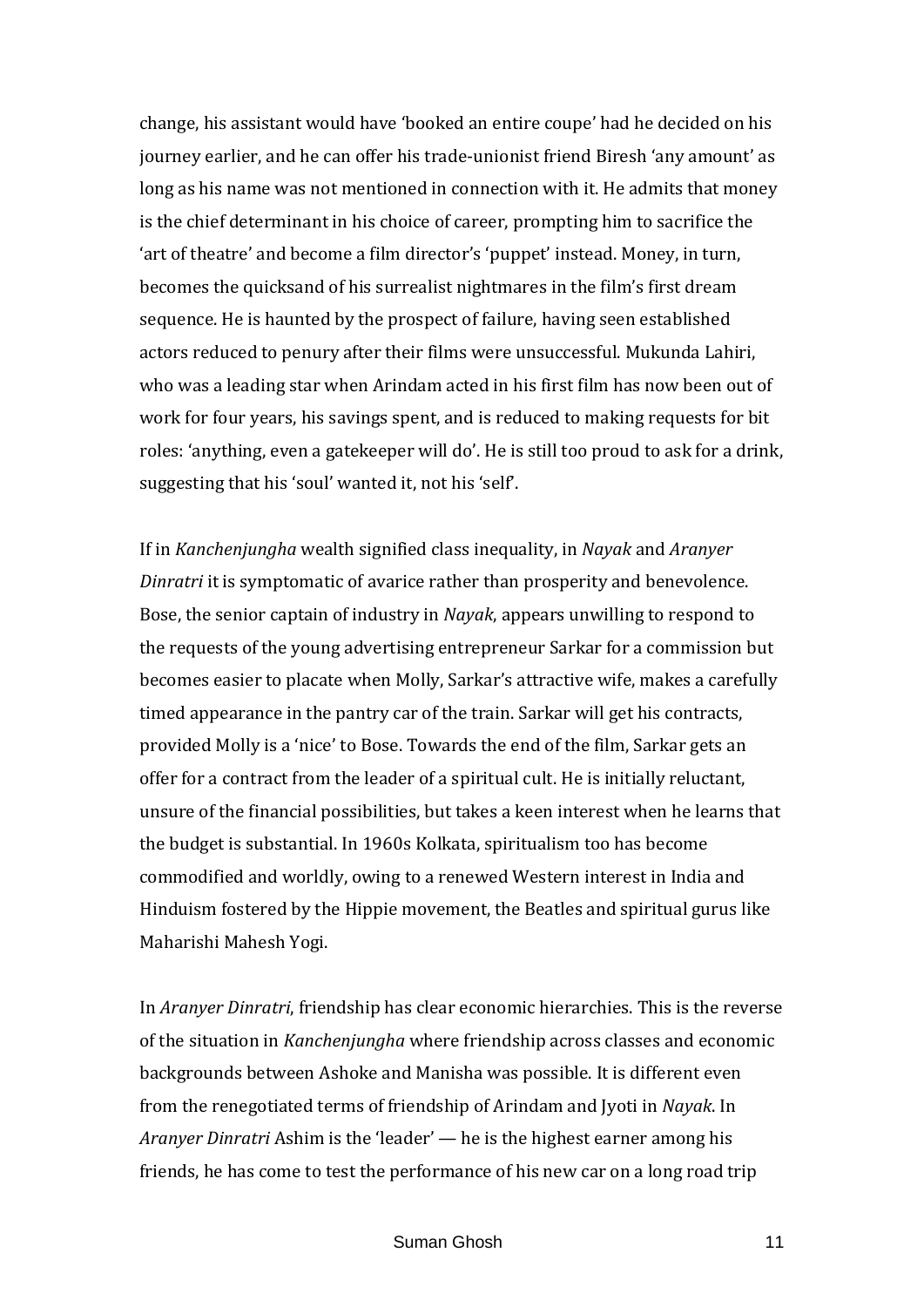change, his assistant would have 'booked an entire coupe' had he decided on his journey earlier, and he can offer his trade-unionist friend Biresh 'any amount' as long as his name was not mentioned in connection with it. He admits that money is the chief determinant in his choice of career, prompting him to sacrifice the 'art of theatre' and become a film director's 'puppet' instead. Money, in turn, becomes the quicksand of his surrealist nightmares in the film's first dream sequence. He is haunted by the prospect of failure, having seen established actors reduced to penury after their films were unsuccessful. Mukunda Lahiri, who was a leading star when Arindam acted in his first film has now been out of work for four years, his savings spent, and is reduced to making requests for bit roles: 'anything, even a gatekeeper will do'. He is still too proud to ask for a drink, suggesting that his 'soul' wanted it, not his 'self'.

If in *Kanchenjungha* wealth signified class inequality, in *Nayak* and *Aranyer Dinratri* it is symptomatic of avarice rather than prosperity and benevolence. Bose, the senior captain of industry in *Nayak*, appears unwilling to respond to the requests of the young advertising entrepreneur Sarkar for a commission but becomes easier to placate when Molly, Sarkar's attractive wife, makes a carefully timed appearance in the pantry car of the train. Sarkar will get his contracts, provided Molly is a 'nice' to Bose. Towards the end of the film, Sarkar gets an offer for a contract from the leader of a spiritual cult. He is initially reluctant, unsure of the financial possibilities, but takes a keen interest when he learns that the budget is substantial. In 1960s Kolkata, spiritualism too has become commodified and worldly, owing to a renewed Western interest in India and Hinduism fostered by the Hippie movement, the Beatles and spiritual gurus like Maharishi Mahesh Yogi.

In *Aranyer Dinratri*, friendship has clear economic hierarchies. This is the reverse of the situation in *Kanchenjungha* where friendship across classes and economic backgrounds between Ashoke and Manisha was possible. It is different even from the renegotiated terms of friendship of Arindam and Jyoti in *Nayak*. In *Aranyer Dinratri* Ashim is the 'leader' — he is the highest earner among his friends, he has come to test the performance of his new car on a long road trip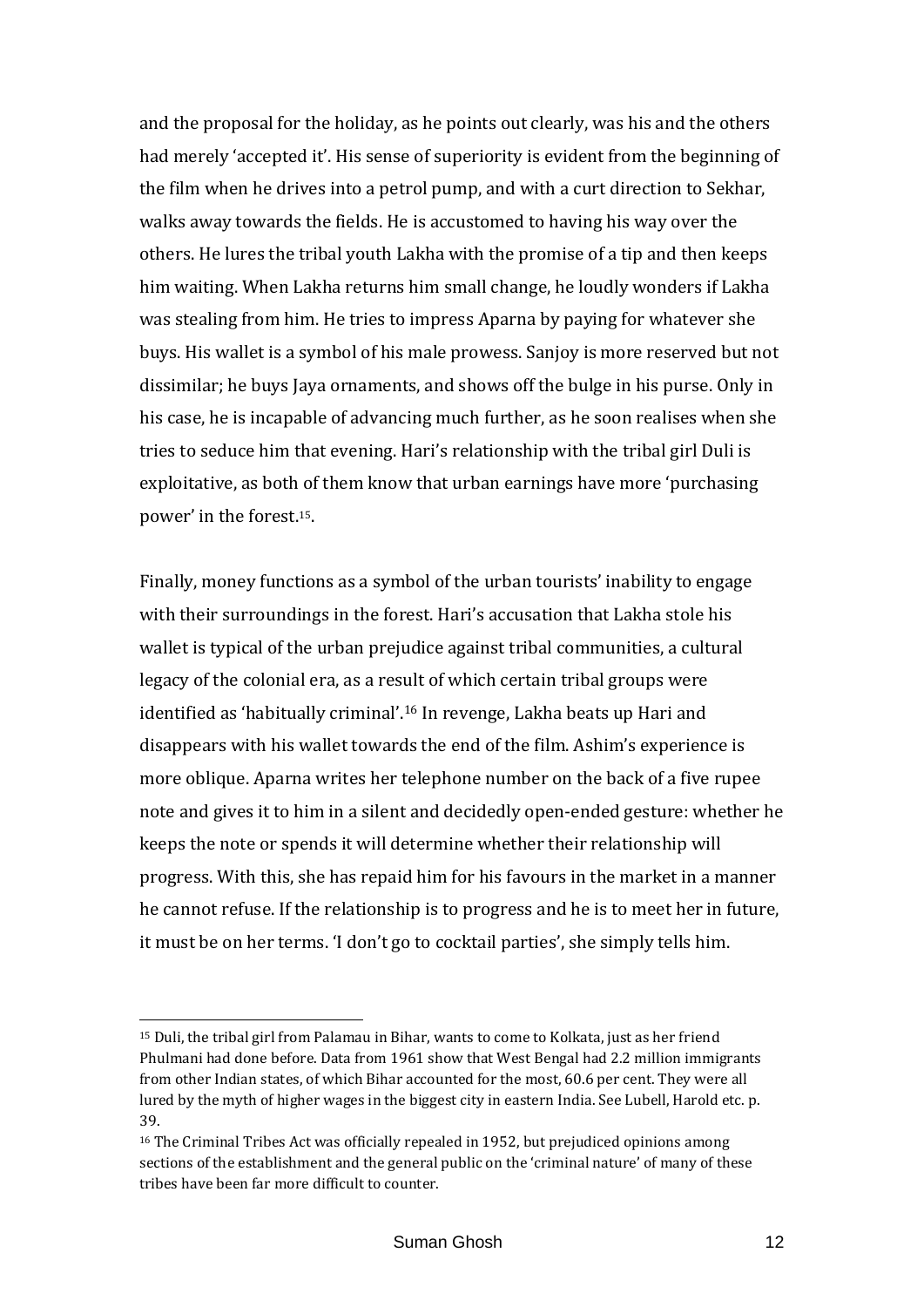and the proposal for the holiday, as he points out clearly, was his and the others had merely 'accepted it'. His sense of superiority is evident from the beginning of the film when he drives into a petrol pump, and with a curt direction to Sekhar, walks away towards the fields. He is accustomed to having his way over the others. He lures the tribal youth Lakha with the promise of a tip and then keeps him waiting. When Lakha returns him small change, he loudly wonders if Lakha was stealing from him. He tries to impress Aparna by paying for whatever she buys. His wallet is a symbol of his male prowess. Sanjoy is more reserved but not dissimilar; he buys Jaya ornaments, and shows off the bulge in his purse. Only in his case, he is incapable of advancing much further, as he soon realises when she tries to seduce him that evening. Hari's relationship with the tribal girl Duli is exploitative, as both of them know that urban earnings have more 'purchasing power' in the forest.15.

Finally, money functions as a symbol of the urban tourists' inability to engage with their surroundings in the forest. Hari's accusation that Lakha stole his wallet is typical of the urban prejudice against tribal communities, a cultural legacy of the colonial era, as a result of which certain tribal groups were identified as 'habitually criminal'.<sup>16</sup> In revenge, Lakha beats up Hari and disappears with his wallet towards the end of the film. Ashim's experience is more oblique. Aparna writes her telephone number on the back of a five rupee note and gives it to him in a silent and decidedly open-ended gesture: whether he keeps the note or spends it will determine whether their relationship will progress. With this, she has repaid him for his favours in the market in a manner he cannot refuse. If the relationship is to progress and he is to meet her in future, it must be on her terms. 'I don't go to cocktail parties', she simply tells him.

<sup>15</sup> Duli, the tribal girl from Palamau in Bihar, wants to come to Kolkata, just as her friend Phulmani had done before. Data from 1961 show that West Bengal had 2.2 million immigrants from other Indian states, of which Bihar accounted for the most, 60.6 per cent. They were all lured by the myth of higher wages in the biggest city in eastern India. See Lubell, Harold etc. p. 39.

<sup>&</sup>lt;sup>16</sup> The Criminal Tribes Act was officially repealed in 1952, but prejudiced opinions among sections of the establishment and the general public on the 'criminal nature' of many of these tribes have been far more difficult to counter.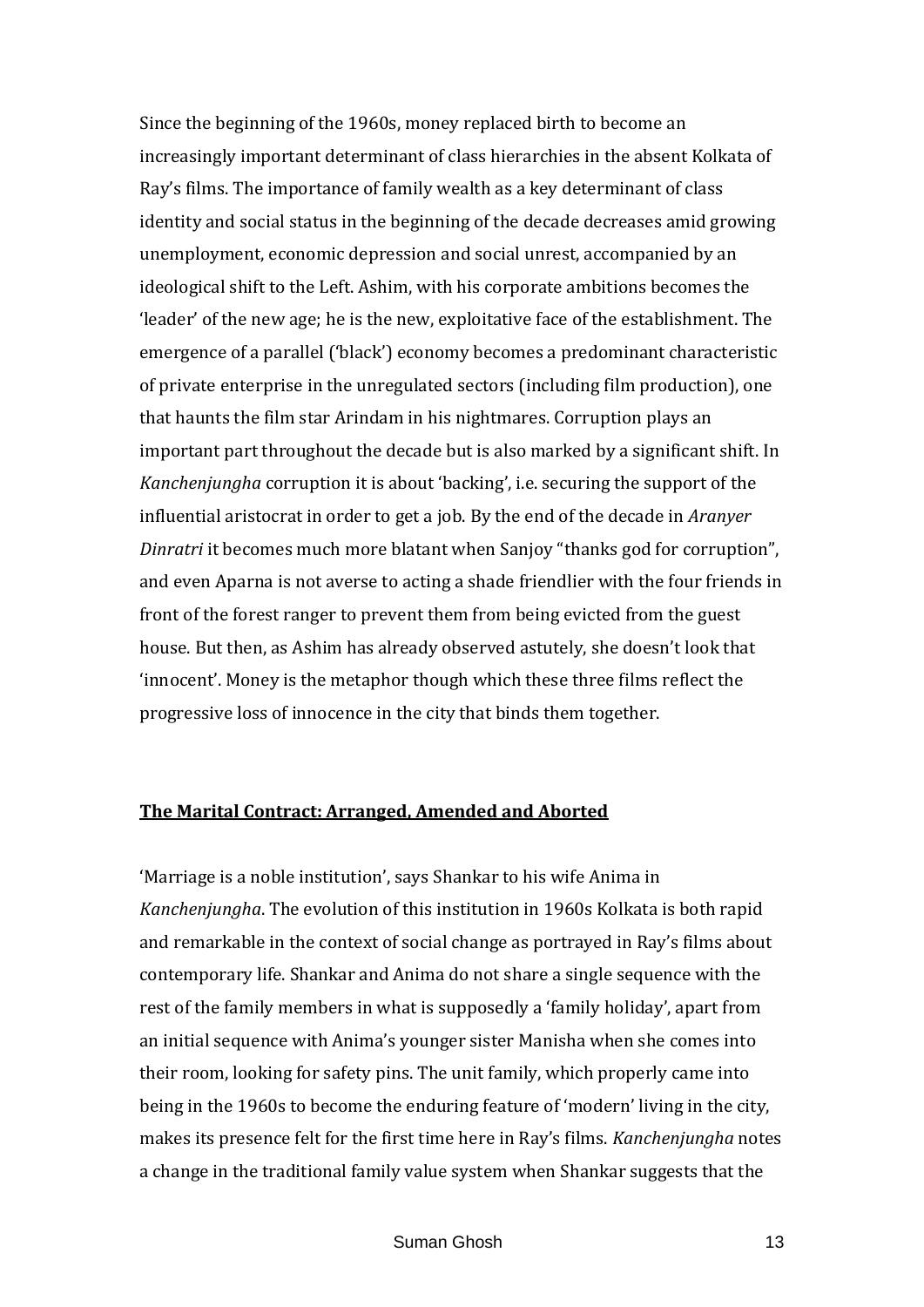Since the beginning of the 1960s, money replaced birth to become an increasingly important determinant of class hierarchies in the absent Kolkata of Ray's films. The importance of family wealth as a key determinant of class identity and social status in the beginning of the decade decreases amid growing unemployment, economic depression and social unrest, accompanied by an ideological shift to the Left. Ashim, with his corporate ambitions becomes the 'leader' of the new age; he is the new, exploitative face of the establishment. The emergence of a parallel ('black') economy becomes a predominant characteristic of private enterprise in the unregulated sectors (including film production), one that haunts the film star Arindam in his nightmares. Corruption plays an important part throughout the decade but is also marked by a significant shift. In *Kanchenjungha* corruption it is about 'backing', i.e. securing the support of the influential aristocrat in order to get a job. By the end of the decade in *Aranyer Dinratri* it becomes much more blatant when Sanjoy "thanks god for corruption", and even Aparna is not averse to acting a shade friendlier with the four friends in front of the forest ranger to prevent them from being evicted from the guest house. But then, as Ashim has already observed astutely, she doesn't look that 'innocent'. Money is the metaphor though which these three films reflect the progressive loss of innocence in the city that binds them together.

#### **The Marital Contract: Arranged, Amended and Aborted**

'Marriage is a noble institution', says Shankar to his wife Anima in *Kanchenjungha*. The evolution of this institution in 1960s Kolkata is both rapid and remarkable in the context of social change as portrayed in Ray's films about contemporary life. Shankar and Anima do not share a single sequence with the rest of the family members in what is supposedly a 'family holiday', apart from an initial sequence with Anima's younger sister Manisha when she comes into their room, looking for safety pins. The unit family, which properly came into being in the 1960s to become the enduring feature of 'modern' living in the city, makes its presence felt for the first time here in Ray's films. *Kanchenjungha* notes a change in the traditional family value system when Shankar suggests that the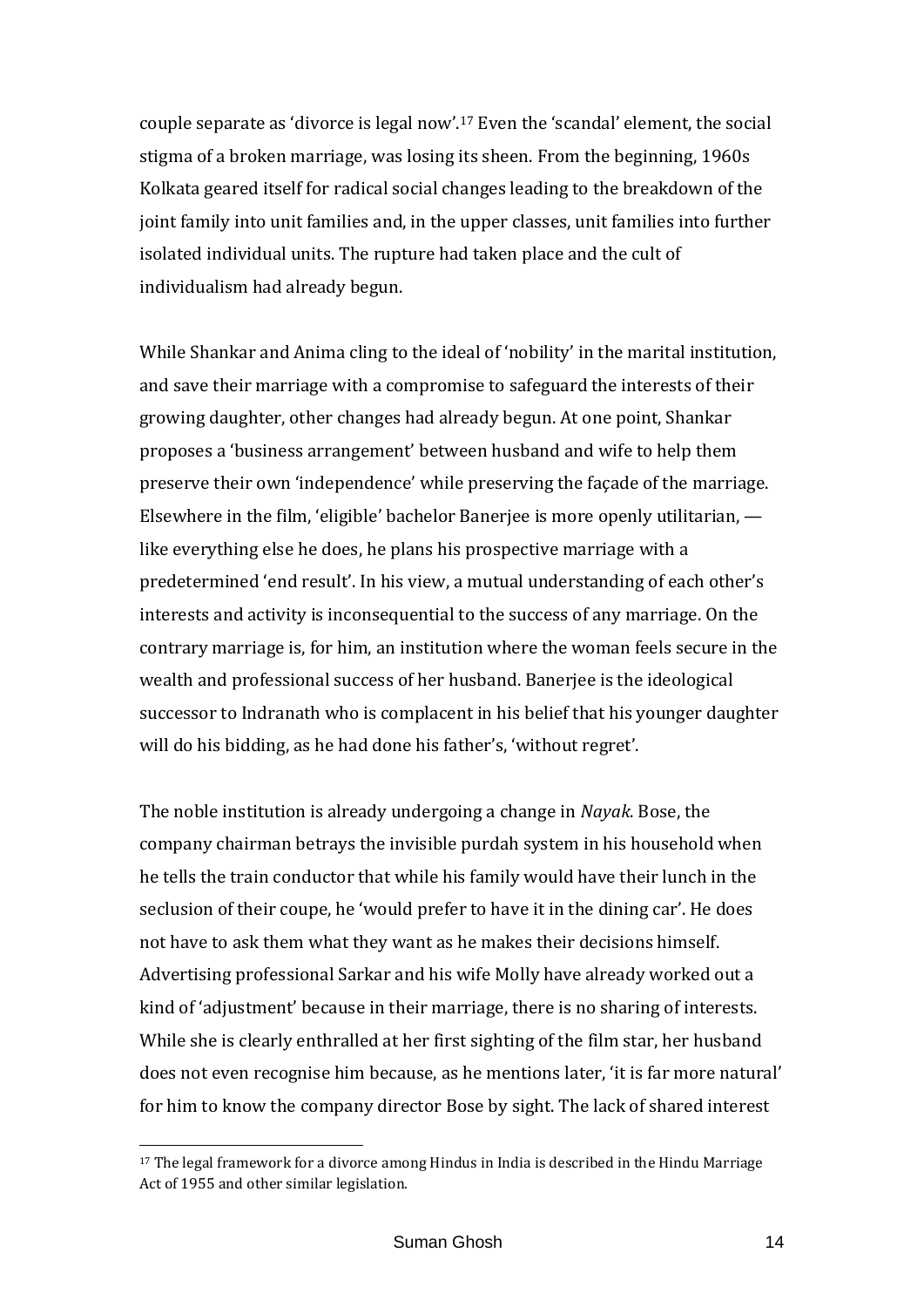couple separate as 'divorce is legal now'.<sup>17</sup> Even the 'scandal' element, the social stigma of a broken marriage, was losing its sheen. From the beginning, 1960s Kolkata geared itself for radical social changes leading to the breakdown of the joint family into unit families and, in the upper classes, unit families into further isolated individual units. The rupture had taken place and the cult of individualism had already begun.

While Shankar and Anima cling to the ideal of 'nobility' in the marital institution, and save their marriage with a compromise to safeguard the interests of their growing daughter, other changes had already begun. At one point, Shankar proposes a 'business arrangement' between husband and wife to help them preserve their own 'independence' while preserving the façade of the marriage. Elsewhere in the film, 'eligible' bachelor Banerjee is more openly utilitarian, like everything else he does, he plans his prospective marriage with a predetermined 'end result'. In his view, a mutual understanding of each other's interests and activity is inconsequential to the success of any marriage. On the contrary marriage is, for him, an institution where the woman feels secure in the wealth and professional success of her husband. Banerjee is the ideological successor to Indranath who is complacent in his belief that his younger daughter will do his bidding, as he had done his father's, 'without regret'.

The noble institution is already undergoing a change in *Nayak*. Bose, the company chairman betrays the invisible purdah system in his household when he tells the train conductor that while his family would have their lunch in the seclusion of their coupe, he 'would prefer to have it in the dining car'. He does not have to ask them what they want as he makes their decisions himself. Advertising professional Sarkar and his wife Molly have already worked out a kind of 'adjustment' because in their marriage, there is no sharing of interests. While she is clearly enthralled at her first sighting of the film star, her husband does not even recognise him because, as he mentions later, 'it is far more natural' for him to know the company director Bose by sight. The lack of shared interest

<sup>&</sup>lt;sup>17</sup> The legal framework for a divorce among Hindus in India is described in the Hindu Marriage Act of 1955 and other similar legislation.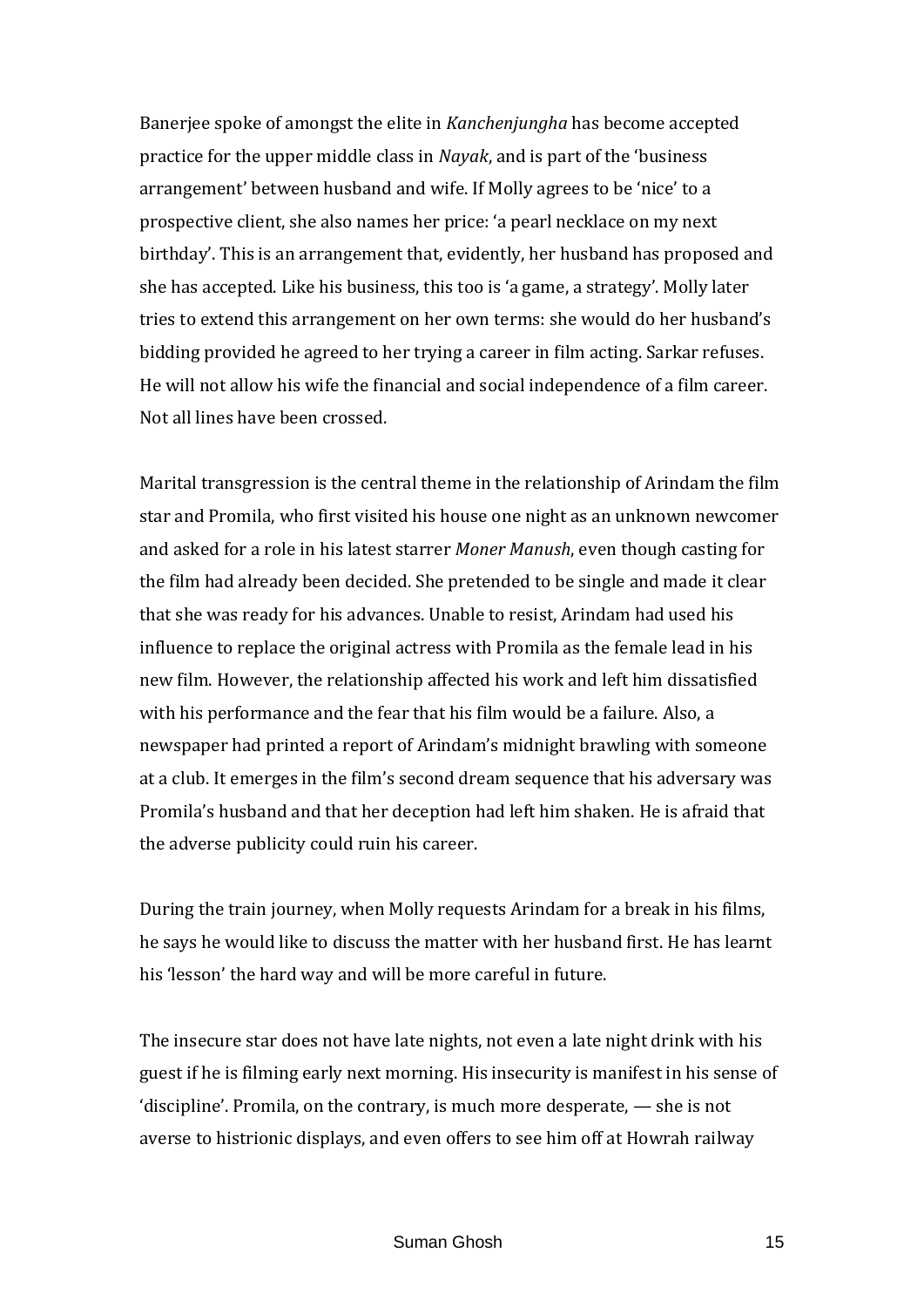Banerjee spoke of amongst the elite in *Kanchenjungha* has become accepted practice for the upper middle class in *Nayak*, and is part of the 'business arrangement' between husband and wife. If Molly agrees to be 'nice' to a prospective client, she also names her price: 'a pearl necklace on my next birthday'. This is an arrangement that, evidently, her husband has proposed and she has accepted. Like his business, this too is 'a game, a strategy'. Molly later tries to extend this arrangement on her own terms: she would do her husband's bidding provided he agreed to her trying a career in film acting. Sarkar refuses. He will not allow his wife the financial and social independence of a film career. Not all lines have been crossed.

Marital transgression is the central theme in the relationship of Arindam the film star and Promila, who first visited his house one night as an unknown newcomer and asked for a role in his latest starrer *Moner Manush*, even though casting for the film had already been decided. She pretended to be single and made it clear that she was ready for his advances. Unable to resist, Arindam had used his influence to replace the original actress with Promila as the female lead in his new film. However, the relationship affected his work and left him dissatisfied with his performance and the fear that his film would be a failure. Also, a newspaper had printed a report of Arindam's midnight brawling with someone at a club. It emerges in the film's second dream sequence that his adversary was Promila's husband and that her deception had left him shaken. He is afraid that the adverse publicity could ruin his career.

During the train journey, when Molly requests Arindam for a break in his films, he says he would like to discuss the matter with her husband first. He has learnt his 'lesson' the hard way and will be more careful in future.

The insecure star does not have late nights, not even a late night drink with his guest if he is filming early next morning. His insecurity is manifest in his sense of 'discipline'. Promila, on the contrary, is much more desperate, — she is not averse to histrionic displays, and even offers to see him off at Howrah railway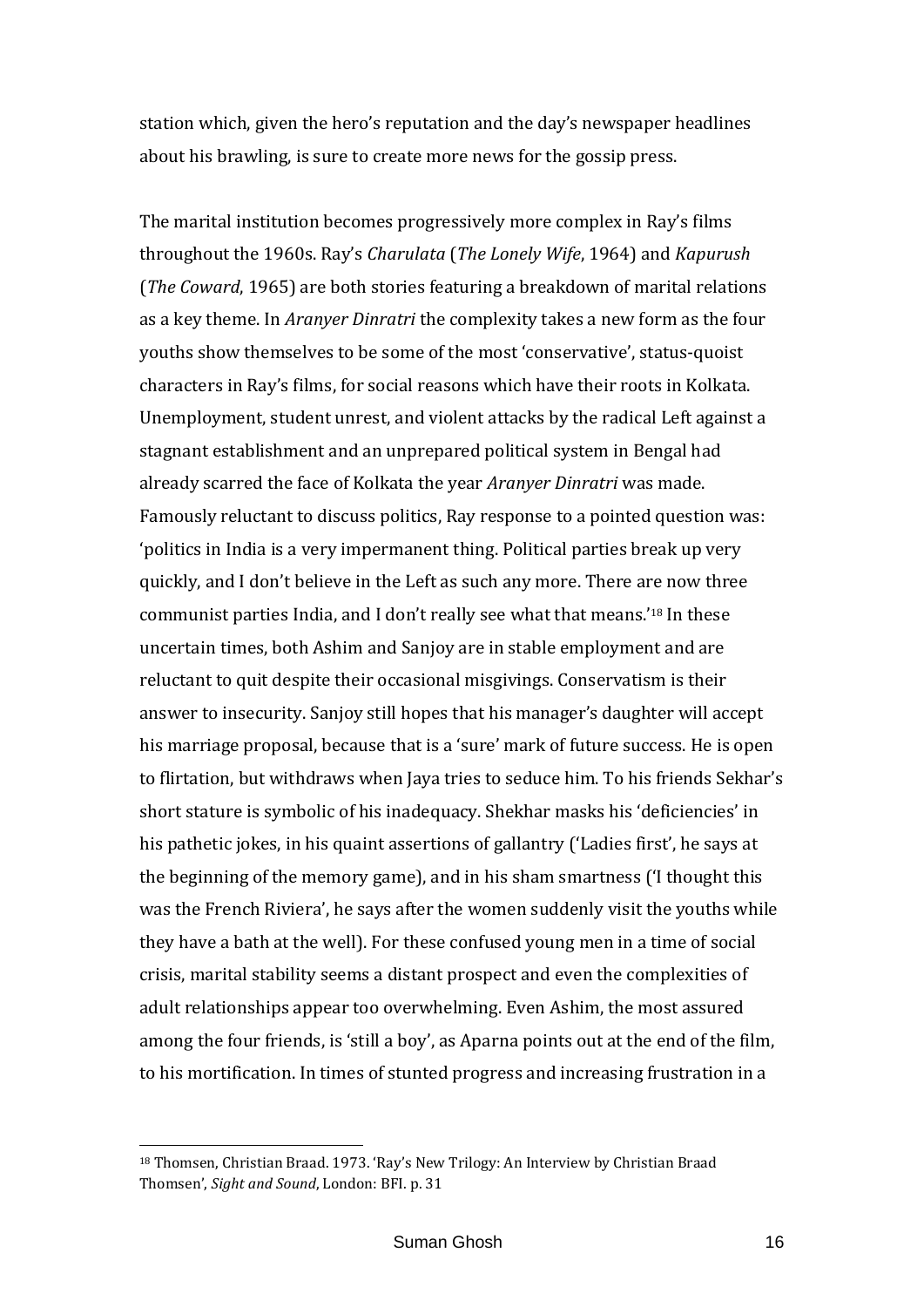station which, given the hero's reputation and the day's newspaper headlines about his brawling, is sure to create more news for the gossip press.

The marital institution becomes progressively more complex in Ray's films throughout the 1960s. Ray's *Charulata* (*The Lonely Wife*, 1964) and *Kapurush* (*The Coward*, 1965) are both stories featuring a breakdown of marital relations as a key theme. In *Aranyer Dinratri* the complexity takes a new form as the four youths show themselves to be some of the most 'conservative', status-quoist characters in Ray's films, for social reasons which have their roots in Kolkata. Unemployment, student unrest, and violent attacks by the radical Left against a stagnant establishment and an unprepared political system in Bengal had already scarred the face of Kolkata the year *Aranyer Dinratri* was made. Famously reluctant to discuss politics, Ray response to a pointed question was: 'politics in India is a very impermanent thing. Political parties break up very quickly, and I don't believe in the Left as such any more. There are now three communist parties India, and I don't really see what that means.'<sup>18</sup> In these uncertain times, both Ashim and Sanjoy are in stable employment and are reluctant to quit despite their occasional misgivings. Conservatism is their answer to insecurity. Sanjoy still hopes that his manager's daughter will accept his marriage proposal, because that is a 'sure' mark of future success. He is open to flirtation, but withdraws when Jaya tries to seduce him. To his friends Sekhar's short stature is symbolic of his inadequacy. Shekhar masks his 'deficiencies' in his pathetic jokes, in his quaint assertions of gallantry ('Ladies first', he says at the beginning of the memory game), and in his sham smartness ('I thought this was the French Riviera', he says after the women suddenly visit the youths while they have a bath at the well). For these confused young men in a time of social crisis, marital stability seems a distant prospect and even the complexities of adult relationships appear too overwhelming. Even Ashim, the most assured among the four friends, is 'still a boy', as Aparna points out at the end of the film, to his mortification. In times of stunted progress and increasing frustration in a

<sup>18</sup> Thomsen, Christian Braad. 1973. 'Ray's New Trilogy: An Interview by Christian Braad Thomsen', *Sight and Sound*, London: BFI. p. 31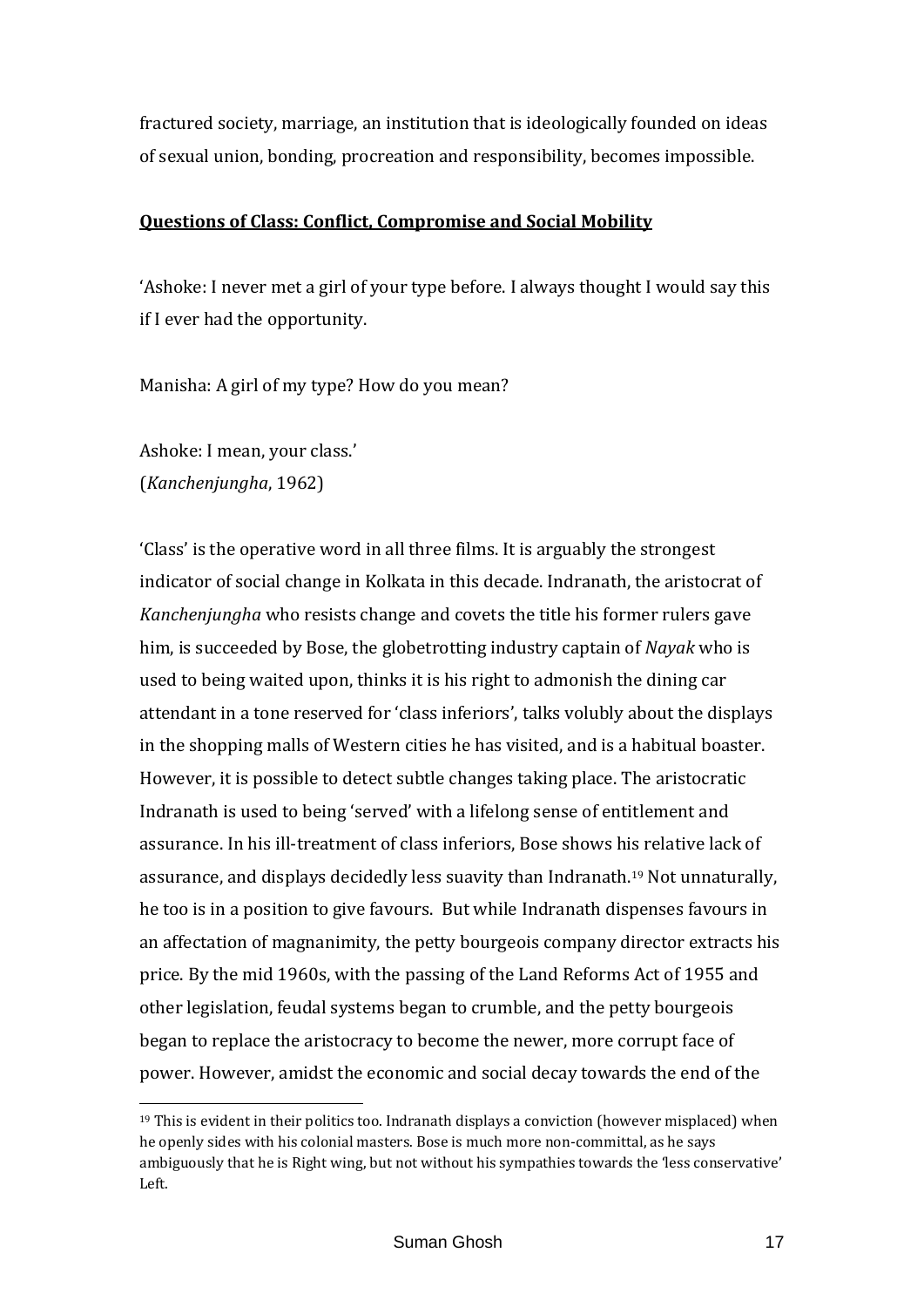fractured society, marriage, an institution that is ideologically founded on ideas of sexual union, bonding, procreation and responsibility, becomes impossible.

#### **Questions of Class: Conflict, Compromise and Social Mobility**

'Ashoke: I never met a girl of your type before. I always thought I would say this if I ever had the opportunity.

Manisha: A girl of my type? How do you mean?

Ashoke: I mean, your class.' (*Kanchenjungha*, 1962)

-

'Class' is the operative word in all three films. It is arguably the strongest indicator of social change in Kolkata in this decade. Indranath, the aristocrat of *Kanchenjungha* who resists change and covets the title his former rulers gave him, is succeeded by Bose, the globetrotting industry captain of *Nayak* who is used to being waited upon, thinks it is his right to admonish the dining car attendant in a tone reserved for 'class inferiors', talks volubly about the displays in the shopping malls of Western cities he has visited, and is a habitual boaster. However, it is possible to detect subtle changes taking place. The aristocratic Indranath is used to being 'served' with a lifelong sense of entitlement and assurance. In his ill-treatment of class inferiors, Bose shows his relative lack of assurance, and displays decidedly less suavity than Indranath.<sup>19</sup> Not unnaturally, he too is in a position to give favours. But while Indranath dispenses favours in an affectation of magnanimity, the petty bourgeois company director extracts his price. By the mid 1960s, with the passing of the Land Reforms Act of 1955 and other legislation, feudal systems began to crumble, and the petty bourgeois began to replace the aristocracy to become the newer, more corrupt face of power. However, amidst the economic and social decay towards the end of the

<sup>&</sup>lt;sup>19</sup> This is evident in their politics too. Indranath displays a conviction (however misplaced) when he openly sides with his colonial masters. Bose is much more non-committal, as he says ambiguously that he is Right wing, but not without his sympathies towards the 'less conservative' Left.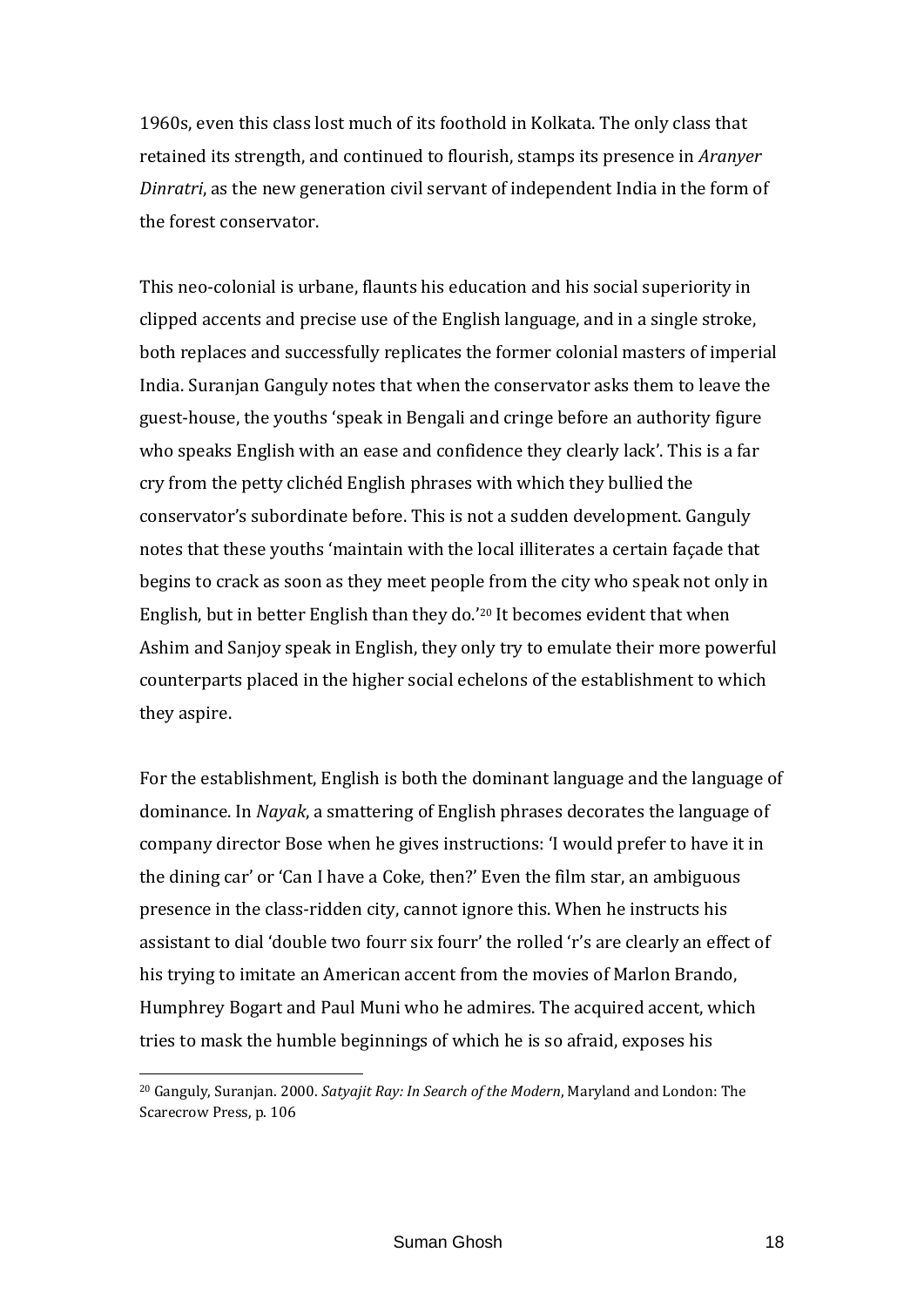1960s, even this class lost much of its foothold in Kolkata. The only class that retained its strength, and continued to flourish, stamps its presence in *Aranyer Dinratri*, as the new generation civil servant of independent India in the form of the forest conservator.

This neo-colonial is urbane, flaunts his education and his social superiority in clipped accents and precise use of the English language, and in a single stroke, both replaces and successfully replicates the former colonial masters of imperial India. Suranjan Ganguly notes that when the conservator asks them to leave the guest-house, the youths 'speak in Bengali and cringe before an authority figure who speaks English with an ease and confidence they clearly lack'. This is a far cry from the petty clichéd English phrases with which they bullied the conservator's subordinate before. This is not a sudden development. Ganguly notes that these youths 'maintain with the local illiterates a certain façade that begins to crack as soon as they meet people from the city who speak not only in English, but in better English than they do.'<sup>20</sup> It becomes evident that when Ashim and Sanjoy speak in English, they only try to emulate their more powerful counterparts placed in the higher social echelons of the establishment to which they aspire.

For the establishment, English is both the dominant language and the language of dominance. In *Nayak*, a smattering of English phrases decorates the language of company director Bose when he gives instructions: 'I would prefer to have it in the dining car' or 'Can I have a Coke, then?' Even the film star, an ambiguous presence in the class-ridden city, cannot ignore this. When he instructs his assistant to dial 'double two fourr six fourr' the rolled 'r's are clearly an effect of his trying to imitate an American accent from the movies of Marlon Brando, Humphrey Bogart and Paul Muni who he admires. The acquired accent, which tries to mask the humble beginnings of which he is so afraid, exposes his

<sup>20</sup> Ganguly, Suranjan. 2000. *Satyajit Ray: In Search of the Modern*, Maryland and London: The Scarecrow Press, p. 106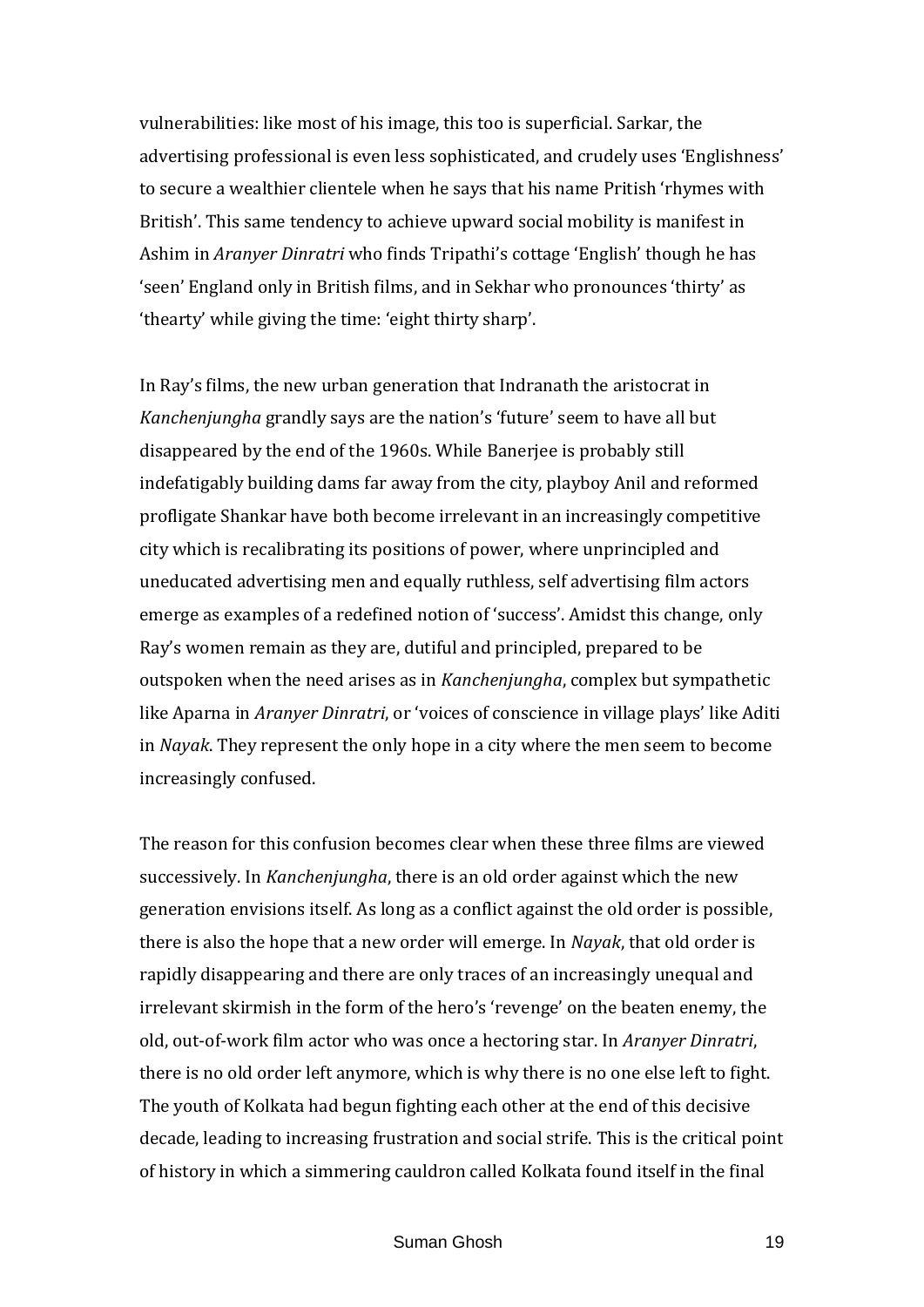vulnerabilities: like most of his image, this too is superficial. Sarkar, the advertising professional is even less sophisticated, and crudely uses 'Englishness' to secure a wealthier clientele when he says that his name Pritish 'rhymes with British'. This same tendency to achieve upward social mobility is manifest in Ashim in *Aranyer Dinratri* who finds Tripathi's cottage 'English' though he has 'seen' England only in British films, and in Sekhar who pronounces 'thirty' as 'thearty' while giving the time: 'eight thirty sharp'.

In Ray's films, the new urban generation that Indranath the aristocrat in *Kanchenjungha* grandly says are the nation's 'future' seem to have all but disappeared by the end of the 1960s. While Banerjee is probably still indefatigably building dams far away from the city, playboy Anil and reformed profligate Shankar have both become irrelevant in an increasingly competitive city which is recalibrating its positions of power, where unprincipled and uneducated advertising men and equally ruthless, self advertising film actors emerge as examples of a redefined notion of 'success'. Amidst this change, only Ray's women remain as they are, dutiful and principled, prepared to be outspoken when the need arises as in *Kanchenjungha*, complex but sympathetic like Aparna in *Aranyer Dinratri*, or 'voices of conscience in village plays' like Aditi in *Nayak*. They represent the only hope in a city where the men seem to become increasingly confused.

The reason for this confusion becomes clear when these three films are viewed successively. In *Kanchenjungha*, there is an old order against which the new generation envisions itself. As long as a conflict against the old order is possible, there is also the hope that a new order will emerge. In *Nayak*, that old order is rapidly disappearing and there are only traces of an increasingly unequal and irrelevant skirmish in the form of the hero's 'revenge' on the beaten enemy, the old, out-of-work film actor who was once a hectoring star. In *Aranyer Dinratri*, there is no old order left anymore, which is why there is no one else left to fight. The youth of Kolkata had begun fighting each other at the end of this decisive decade, leading to increasing frustration and social strife. This is the critical point of history in which a simmering cauldron called Kolkata found itself in the final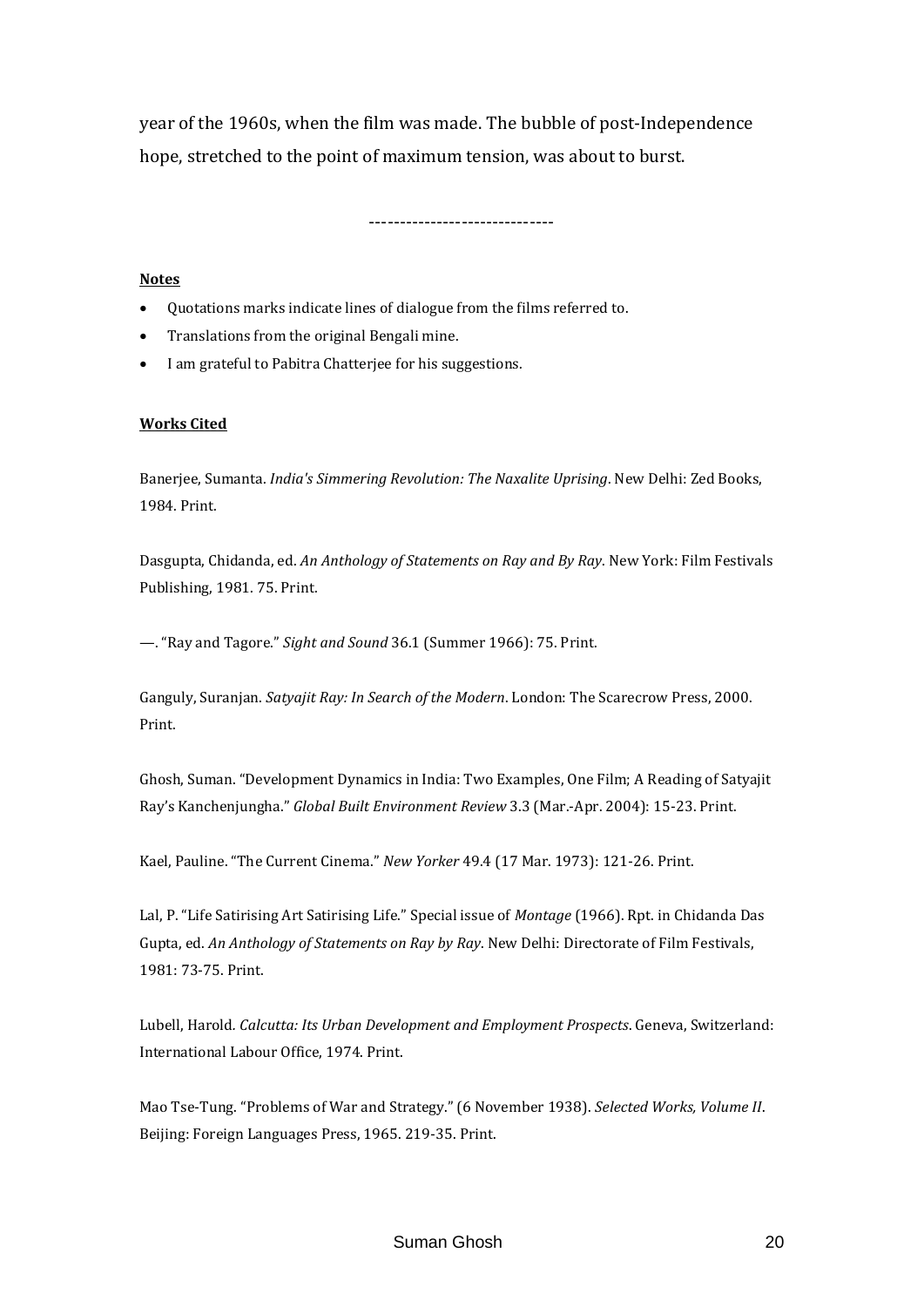year of the 1960s, when the film was made. The bubble of post-Independence hope, stretched to the point of maximum tension, was about to burst.

------------------------------

#### **Notes**

- Quotations marks indicate lines of dialogue from the films referred to.
- Translations from the original Bengali mine.
- I am grateful to Pabitra Chatterjee for his suggestions.

#### **Works Cited**

Banerjee, Sumanta. *India's Simmering Revolution: The Naxalite Uprising*. New Delhi: Zed Books, 1984. Print.

Dasgupta, Chidanda, ed. *An Anthology of Statements on Ray and By Ray*. New York: Film Festivals Publishing, 1981. 75. Print.

—. "Ray and Tagore." *Sight and Sound* 36.1 (Summer 1966): 75. Print.

Ganguly, Suranjan. *Satyajit Ray: In Search of the Modern*. London: The Scarecrow Press, 2000. Print.

Ghosh, Suman. "Development Dynamics in India: Two Examples, One Film; A Reading of Satyajit Ray's Kanchenjungha." *Global Built Environment Review* 3.3 (Mar.-Apr. 2004): 15-23. Print.

Kael, Pauline. "The Current Cinema." *New Yorker* 49.4 (17 Mar. 1973): 121-26. Print.

Lal, P. "Life Satirising Art Satirising Life." Special issue of *Montage* (1966). Rpt. in Chidanda Das Gupta, ed. *An Anthology of Statements on Ray by Ray*. New Delhi: Directorate of Film Festivals, 1981: 73-75. Print.

Lubell, Harold*. Calcutta: Its Urban Development and Employment Prospects*. Geneva, Switzerland: International Labour Office, 1974. Print.

Mao Tse-Tung. "Problems of War and Strategy." (6 November 1938). *Selected Works, Volume II*. Beijing: Foreign Languages Press, 1965. 219-35. Print.